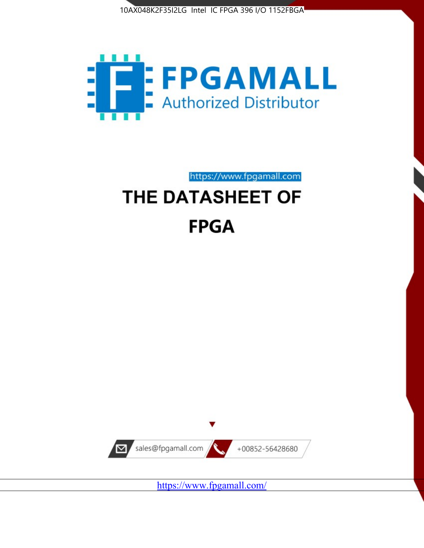



https://www.fpgamall.com

# THE DATASHEET OF **FPGA**



<https://www.fpgamall.com/>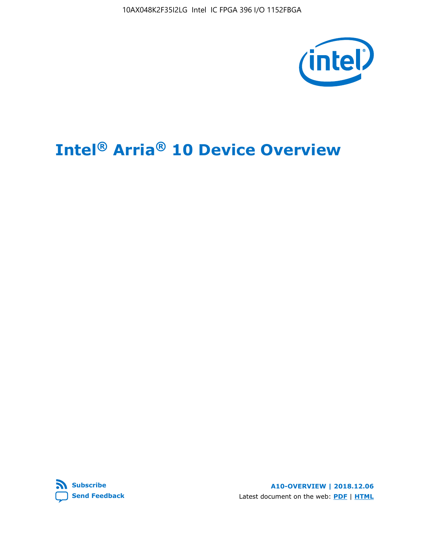10AX048K2F35I2LG Intel IC FPGA 396 I/O 1152FBGA



# **Intel® Arria® 10 Device Overview**



**A10-OVERVIEW | 2018.12.06** Latest document on the web: **[PDF](https://www.intel.com/content/dam/www/programmable/us/en/pdfs/literature/hb/arria-10/a10_overview.pdf)** | **[HTML](https://www.intel.com/content/www/us/en/programmable/documentation/sam1403480274650.html)**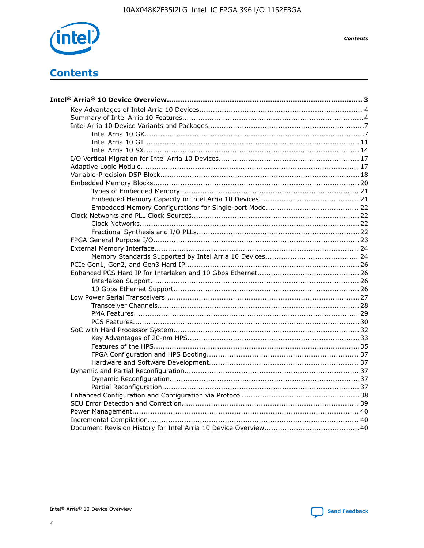

**Contents** 

# **Contents**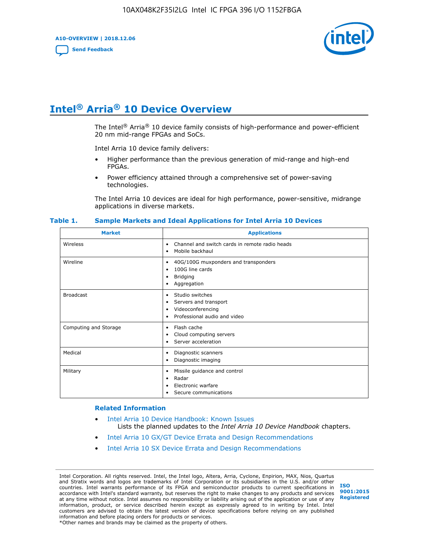**A10-OVERVIEW | 2018.12.06**

**[Send Feedback](mailto:FPGAtechdocfeedback@intel.com?subject=Feedback%20on%20Intel%20Arria%2010%20Device%20Overview%20(A10-OVERVIEW%202018.12.06)&body=We%20appreciate%20your%20feedback.%20In%20your%20comments,%20also%20specify%20the%20page%20number%20or%20paragraph.%20Thank%20you.)**



# **Intel® Arria® 10 Device Overview**

The Intel<sup>®</sup> Arria<sup>®</sup> 10 device family consists of high-performance and power-efficient 20 nm mid-range FPGAs and SoCs.

Intel Arria 10 device family delivers:

- Higher performance than the previous generation of mid-range and high-end FPGAs.
- Power efficiency attained through a comprehensive set of power-saving technologies.

The Intel Arria 10 devices are ideal for high performance, power-sensitive, midrange applications in diverse markets.

| <b>Market</b>         | <b>Applications</b>                                                                                               |
|-----------------------|-------------------------------------------------------------------------------------------------------------------|
| Wireless              | Channel and switch cards in remote radio heads<br>٠<br>Mobile backhaul<br>٠                                       |
| Wireline              | 40G/100G muxponders and transponders<br>٠<br>100G line cards<br>٠<br><b>Bridging</b><br>٠<br>Aggregation<br>٠     |
| <b>Broadcast</b>      | Studio switches<br>٠<br>Servers and transport<br>٠<br>Videoconferencing<br>٠<br>Professional audio and video<br>٠ |
| Computing and Storage | Flash cache<br>٠<br>Cloud computing servers<br>٠<br>Server acceleration<br>٠                                      |
| Medical               | Diagnostic scanners<br>٠<br>Diagnostic imaging<br>٠                                                               |
| Military              | Missile guidance and control<br>٠<br>Radar<br>٠<br>Electronic warfare<br>٠<br>Secure communications<br>٠          |

#### **Table 1. Sample Markets and Ideal Applications for Intel Arria 10 Devices**

#### **Related Information**

- [Intel Arria 10 Device Handbook: Known Issues](http://www.altera.com/support/kdb/solutions/rd07302013_646.html) Lists the planned updates to the *Intel Arria 10 Device Handbook* chapters.
- [Intel Arria 10 GX/GT Device Errata and Design Recommendations](https://www.intel.com/content/www/us/en/programmable/documentation/agz1493851706374.html#yqz1494433888646)
- [Intel Arria 10 SX Device Errata and Design Recommendations](https://www.intel.com/content/www/us/en/programmable/documentation/cru1462832385668.html#cru1462832558642)

Intel Corporation. All rights reserved. Intel, the Intel logo, Altera, Arria, Cyclone, Enpirion, MAX, Nios, Quartus and Stratix words and logos are trademarks of Intel Corporation or its subsidiaries in the U.S. and/or other countries. Intel warrants performance of its FPGA and semiconductor products to current specifications in accordance with Intel's standard warranty, but reserves the right to make changes to any products and services at any time without notice. Intel assumes no responsibility or liability arising out of the application or use of any information, product, or service described herein except as expressly agreed to in writing by Intel. Intel customers are advised to obtain the latest version of device specifications before relying on any published information and before placing orders for products or services. \*Other names and brands may be claimed as the property of others.

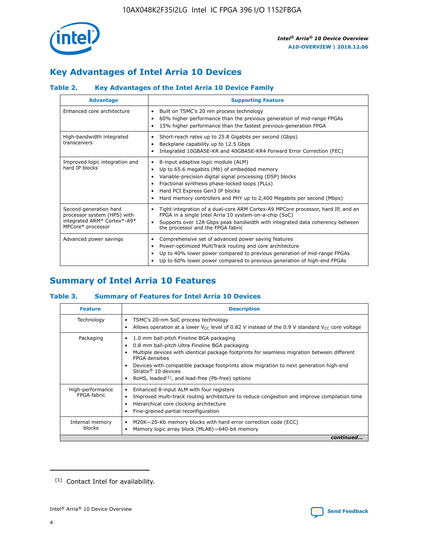

# **Key Advantages of Intel Arria 10 Devices**

## **Table 2. Key Advantages of the Intel Arria 10 Device Family**

| <b>Advantage</b>                                                                                          | <b>Supporting Feature</b>                                                                                                                                                                                                                                                                                                |
|-----------------------------------------------------------------------------------------------------------|--------------------------------------------------------------------------------------------------------------------------------------------------------------------------------------------------------------------------------------------------------------------------------------------------------------------------|
| Enhanced core architecture                                                                                | Built on TSMC's 20 nm process technology<br>٠<br>60% higher performance than the previous generation of mid-range FPGAs<br>٠<br>15% higher performance than the fastest previous-generation FPGA<br>٠                                                                                                                    |
| High-bandwidth integrated<br>transceivers                                                                 | Short-reach rates up to 25.8 Gigabits per second (Gbps)<br>٠<br>Backplane capability up to 12.5 Gbps<br>٠<br>Integrated 10GBASE-KR and 40GBASE-KR4 Forward Error Correction (FEC)<br>٠                                                                                                                                   |
| Improved logic integration and<br>hard IP blocks                                                          | 8-input adaptive logic module (ALM)<br>٠<br>Up to 65.6 megabits (Mb) of embedded memory<br>٠<br>Variable-precision digital signal processing (DSP) blocks<br>Fractional synthesis phase-locked loops (PLLs)<br>Hard PCI Express Gen3 IP blocks<br>Hard memory controllers and PHY up to 2,400 Megabits per second (Mbps) |
| Second generation hard<br>processor system (HPS) with<br>integrated ARM* Cortex*-A9*<br>MPCore* processor | Tight integration of a dual-core ARM Cortex-A9 MPCore processor, hard IP, and an<br>٠<br>FPGA in a single Intel Arria 10 system-on-a-chip (SoC)<br>Supports over 128 Gbps peak bandwidth with integrated data coherency between<br>$\bullet$<br>the processor and the FPGA fabric                                        |
| Advanced power savings                                                                                    | Comprehensive set of advanced power saving features<br>٠<br>Power-optimized MultiTrack routing and core architecture<br>٠<br>Up to 40% lower power compared to previous generation of mid-range FPGAs<br>٠<br>Up to 60% lower power compared to previous generation of high-end FPGAs<br>٠                               |

# **Summary of Intel Arria 10 Features**

## **Table 3. Summary of Features for Intel Arria 10 Devices**

| <b>Feature</b>                  | <b>Description</b>                                                                                                                                                                                                                                                                                                                                                                                 |
|---------------------------------|----------------------------------------------------------------------------------------------------------------------------------------------------------------------------------------------------------------------------------------------------------------------------------------------------------------------------------------------------------------------------------------------------|
| Technology                      | TSMC's 20-nm SoC process technology<br>Allows operation at a lower $V_{\text{CC}}$ level of 0.82 V instead of the 0.9 V standard $V_{\text{CC}}$ core voltage                                                                                                                                                                                                                                      |
| Packaging                       | 1.0 mm ball-pitch Fineline BGA packaging<br>٠<br>0.8 mm ball-pitch Ultra Fineline BGA packaging<br>Multiple devices with identical package footprints for seamless migration between different<br><b>FPGA</b> densities<br>Devices with compatible package footprints allow migration to next generation high-end<br>Stratix $@10$ devices<br>RoHS, leaded $(1)$ , and lead-free (Pb-free) options |
| High-performance<br>FPGA fabric | Enhanced 8-input ALM with four registers<br>Improved multi-track routing architecture to reduce congestion and improve compilation time<br>Hierarchical core clocking architecture<br>Fine-grained partial reconfiguration                                                                                                                                                                         |
| Internal memory<br>blocks       | M20K-20-Kb memory blocks with hard error correction code (ECC)<br>Memory logic array block (MLAB)-640-bit memory                                                                                                                                                                                                                                                                                   |
|                                 | continued                                                                                                                                                                                                                                                                                                                                                                                          |



<sup>(1)</sup> Contact Intel for availability.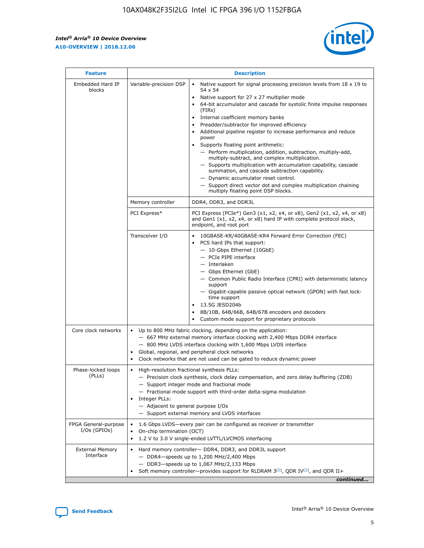r



| <b>Feature</b>                         | <b>Description</b>                                                                                             |                                                                                                                                                                                                                                                                                                                                                                                                                                                                                                                                                                                                                                                                                                                                                                                                                                        |  |  |  |  |  |
|----------------------------------------|----------------------------------------------------------------------------------------------------------------|----------------------------------------------------------------------------------------------------------------------------------------------------------------------------------------------------------------------------------------------------------------------------------------------------------------------------------------------------------------------------------------------------------------------------------------------------------------------------------------------------------------------------------------------------------------------------------------------------------------------------------------------------------------------------------------------------------------------------------------------------------------------------------------------------------------------------------------|--|--|--|--|--|
| Embedded Hard IP<br>blocks             | Variable-precision DSP                                                                                         | Native support for signal processing precision levels from $18 \times 19$ to<br>54 x 54<br>Native support for 27 x 27 multiplier mode<br>64-bit accumulator and cascade for systolic finite impulse responses<br>(FIRs)<br>Internal coefficient memory banks<br>$\bullet$<br>Preadder/subtractor for improved efficiency<br>Additional pipeline register to increase performance and reduce<br>power<br>Supports floating point arithmetic:<br>- Perform multiplication, addition, subtraction, multiply-add,<br>multiply-subtract, and complex multiplication.<br>- Supports multiplication with accumulation capability, cascade<br>summation, and cascade subtraction capability.<br>- Dynamic accumulator reset control.<br>- Support direct vector dot and complex multiplication chaining<br>multiply floating point DSP blocks. |  |  |  |  |  |
|                                        | Memory controller                                                                                              | DDR4, DDR3, and DDR3L                                                                                                                                                                                                                                                                                                                                                                                                                                                                                                                                                                                                                                                                                                                                                                                                                  |  |  |  |  |  |
|                                        | PCI Express*                                                                                                   | PCI Express (PCIe*) Gen3 (x1, x2, x4, or x8), Gen2 (x1, x2, x4, or x8)<br>and Gen1 (x1, x2, x4, or x8) hard IP with complete protocol stack,<br>endpoint, and root port                                                                                                                                                                                                                                                                                                                                                                                                                                                                                                                                                                                                                                                                |  |  |  |  |  |
|                                        | Transceiver I/O                                                                                                | 10GBASE-KR/40GBASE-KR4 Forward Error Correction (FEC)<br>PCS hard IPs that support:<br>$\bullet$<br>- 10-Gbps Ethernet (10GbE)<br>- PCIe PIPE interface<br>$-$ Interlaken<br>- Gbps Ethernet (GbE)<br>- Common Public Radio Interface (CPRI) with deterministic latency<br>support<br>- Gigabit-capable passive optical network (GPON) with fast lock-<br>time support<br>13.5G JESD204b<br>$\bullet$<br>8B/10B, 64B/66B, 64B/67B encoders and decoders<br>Custom mode support for proprietary protocols                                                                                                                                                                                                                                                                                                                               |  |  |  |  |  |
| Core clock networks                    | $\bullet$<br>$\bullet$                                                                                         | Up to 800 MHz fabric clocking, depending on the application:<br>- 667 MHz external memory interface clocking with 2,400 Mbps DDR4 interface<br>- 800 MHz LVDS interface clocking with 1,600 Mbps LVDS interface<br>Global, regional, and peripheral clock networks<br>Clock networks that are not used can be gated to reduce dynamic power                                                                                                                                                                                                                                                                                                                                                                                                                                                                                            |  |  |  |  |  |
| Phase-locked loops<br>(PLLs)           | High-resolution fractional synthesis PLLs:<br>$\bullet$<br>Integer PLLs:<br>- Adjacent to general purpose I/Os | - Precision clock synthesis, clock delay compensation, and zero delay buffering (ZDB)<br>- Support integer mode and fractional mode<br>- Fractional mode support with third-order delta-sigma modulation<br>- Support external memory and LVDS interfaces                                                                                                                                                                                                                                                                                                                                                                                                                                                                                                                                                                              |  |  |  |  |  |
| FPGA General-purpose<br>$I/Os$ (GPIOs) | On-chip termination (OCT)                                                                                      | 1.6 Gbps LVDS-every pair can be configured as receiver or transmitter<br>1.2 V to 3.0 V single-ended LVTTL/LVCMOS interfacing                                                                                                                                                                                                                                                                                                                                                                                                                                                                                                                                                                                                                                                                                                          |  |  |  |  |  |
| <b>External Memory</b><br>Interface    |                                                                                                                | Hard memory controller- DDR4, DDR3, and DDR3L support<br>$-$ DDR4 $-$ speeds up to 1,200 MHz/2,400 Mbps<br>- DDR3-speeds up to 1,067 MHz/2,133 Mbps<br>Soft memory controller—provides support for RLDRAM $3^{(2)}$ , QDR IV $^{(2)}$ , and QDR II+<br>continued                                                                                                                                                                                                                                                                                                                                                                                                                                                                                                                                                                       |  |  |  |  |  |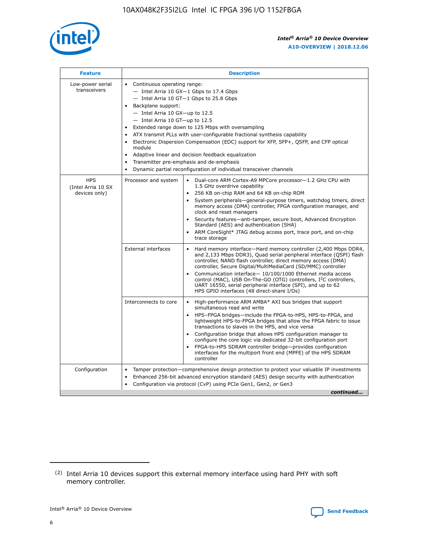

| <b>Feature</b>                                    | <b>Description</b>                                                                                                                                                                                                                                                                                                                                                                                                                                                                                                                                                                                                                                                 |  |  |  |  |  |  |  |
|---------------------------------------------------|--------------------------------------------------------------------------------------------------------------------------------------------------------------------------------------------------------------------------------------------------------------------------------------------------------------------------------------------------------------------------------------------------------------------------------------------------------------------------------------------------------------------------------------------------------------------------------------------------------------------------------------------------------------------|--|--|--|--|--|--|--|
| Low-power serial<br>transceivers                  | • Continuous operating range:<br>- Intel Arria 10 GX-1 Gbps to 17.4 Gbps<br>- Intel Arria 10 GT-1 Gbps to 25.8 Gbps<br>Backplane support:<br>$-$ Intel Arria 10 GX-up to 12.5<br>- Intel Arria 10 GT-up to 12.5<br>Extended range down to 125 Mbps with oversampling<br>ATX transmit PLLs with user-configurable fractional synthesis capability<br>$\bullet$<br>Electronic Dispersion Compensation (EDC) support for XFP, SFP+, OSFP, and CFP optical<br>module<br>Adaptive linear and decision feedback equalization<br>$\bullet$<br>Transmitter pre-emphasis and de-emphasis<br>$\bullet$<br>Dynamic partial reconfiguration of individual transceiver channels |  |  |  |  |  |  |  |
| <b>HPS</b><br>(Intel Arria 10 SX<br>devices only) | • Dual-core ARM Cortex-A9 MPCore processor-1.2 GHz CPU with<br>Processor and system<br>1.5 GHz overdrive capability<br>256 KB on-chip RAM and 64 KB on-chip ROM<br>$\bullet$<br>System peripherals—general-purpose timers, watchdog timers, direct<br>memory access (DMA) controller, FPGA configuration manager, and<br>clock and reset managers<br>Security features—anti-tamper, secure boot, Advanced Encryption<br>$\bullet$<br>Standard (AES) and authentication (SHA)<br>ARM CoreSight* JTAG debug access port, trace port, and on-chip<br>$\bullet$<br>trace storage                                                                                       |  |  |  |  |  |  |  |
|                                                   | <b>External interfaces</b><br>Hard memory interface-Hard memory controller (2,400 Mbps DDR4,<br>$\bullet$<br>and 2,133 Mbps DDR3), Quad serial peripheral interface (OSPI) flash<br>controller, NAND flash controller, direct memory access (DMA)<br>controller, Secure Digital/MultiMediaCard (SD/MMC) controller<br>Communication interface-10/100/1000 Ethernet media access<br>$\bullet$<br>control (MAC), USB On-The-GO (OTG) controllers, I <sup>2</sup> C controllers,<br>UART 16550, serial peripheral interface (SPI), and up to 62<br>HPS GPIO interfaces (48 direct-share I/Os)                                                                         |  |  |  |  |  |  |  |
|                                                   | Interconnects to core<br>High-performance ARM AMBA* AXI bus bridges that support<br>$\bullet$<br>simultaneous read and write<br>HPS-FPGA bridges-include the FPGA-to-HPS, HPS-to-FPGA, and<br>$\bullet$<br>lightweight HPS-to-FPGA bridges that allow the FPGA fabric to issue<br>transactions to slaves in the HPS, and vice versa<br>Configuration bridge that allows HPS configuration manager to<br>configure the core logic via dedicated 32-bit configuration port<br>FPGA-to-HPS SDRAM controller bridge-provides configuration<br>interfaces for the multiport front end (MPFE) of the HPS SDRAM<br>controller                                             |  |  |  |  |  |  |  |
| Configuration                                     | Tamper protection—comprehensive design protection to protect your valuable IP investments<br>Enhanced 256-bit advanced encryption standard (AES) design security with authentication<br>٠<br>Configuration via protocol (CvP) using PCIe Gen1, Gen2, or Gen3<br>continued                                                                                                                                                                                                                                                                                                                                                                                          |  |  |  |  |  |  |  |

<sup>(2)</sup> Intel Arria 10 devices support this external memory interface using hard PHY with soft memory controller.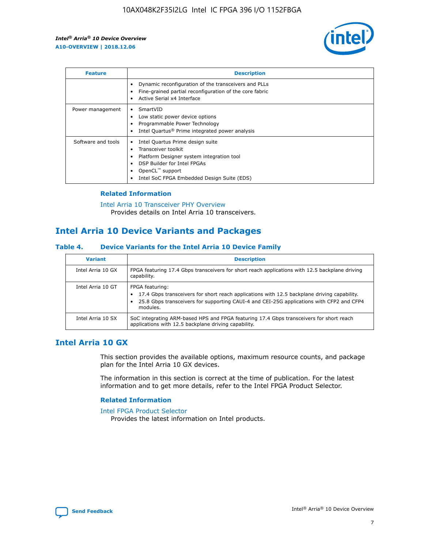

| <b>Feature</b>     | <b>Description</b>                                                                                                                                                                                               |
|--------------------|------------------------------------------------------------------------------------------------------------------------------------------------------------------------------------------------------------------|
|                    | Dynamic reconfiguration of the transceivers and PLLs<br>Fine-grained partial reconfiguration of the core fabric<br>Active Serial x4 Interface<br>$\bullet$                                                       |
| Power management   | SmartVID<br>Low static power device options<br>Programmable Power Technology<br>Intel Quartus <sup>®</sup> Prime integrated power analysis                                                                       |
| Software and tools | Intel Quartus Prime design suite<br>Transceiver toolkit<br>Platform Designer system integration tool<br>DSP Builder for Intel FPGAs<br>OpenCL <sup>™</sup> support<br>Intel SoC FPGA Embedded Design Suite (EDS) |

## **Related Information**

[Intel Arria 10 Transceiver PHY Overview](https://www.intel.com/content/www/us/en/programmable/documentation/nik1398707230472.html#nik1398706768037) Provides details on Intel Arria 10 transceivers.

## **Intel Arria 10 Device Variants and Packages**

#### **Table 4. Device Variants for the Intel Arria 10 Device Family**

| <b>Variant</b>    | <b>Description</b>                                                                                                                                                                                                     |
|-------------------|------------------------------------------------------------------------------------------------------------------------------------------------------------------------------------------------------------------------|
| Intel Arria 10 GX | FPGA featuring 17.4 Gbps transceivers for short reach applications with 12.5 backplane driving<br>capability.                                                                                                          |
| Intel Arria 10 GT | FPGA featuring:<br>17.4 Gbps transceivers for short reach applications with 12.5 backplane driving capability.<br>25.8 Gbps transceivers for supporting CAUI-4 and CEI-25G applications with CFP2 and CFP4<br>modules. |
| Intel Arria 10 SX | SoC integrating ARM-based HPS and FPGA featuring 17.4 Gbps transceivers for short reach<br>applications with 12.5 backplane driving capability.                                                                        |

## **Intel Arria 10 GX**

This section provides the available options, maximum resource counts, and package plan for the Intel Arria 10 GX devices.

The information in this section is correct at the time of publication. For the latest information and to get more details, refer to the Intel FPGA Product Selector.

#### **Related Information**

#### [Intel FPGA Product Selector](http://www.altera.com/products/selector/psg-selector.html) Provides the latest information on Intel products.

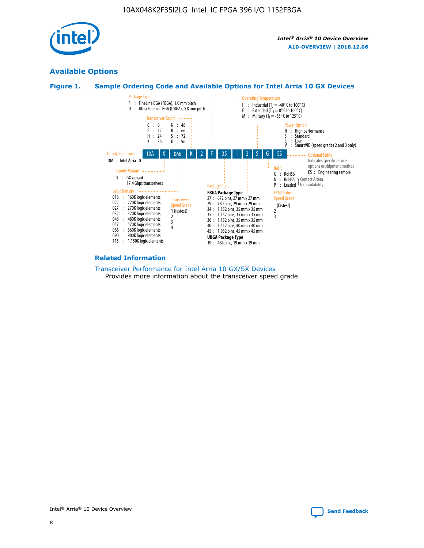

## **Available Options**





#### **Related Information**

[Transceiver Performance for Intel Arria 10 GX/SX Devices](https://www.intel.com/content/www/us/en/programmable/documentation/mcn1413182292568.html#mcn1413213965502) Provides more information about the transceiver speed grade.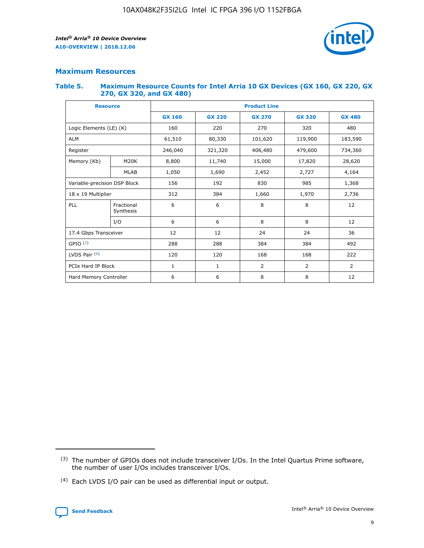

## **Maximum Resources**

#### **Table 5. Maximum Resource Counts for Intel Arria 10 GX Devices (GX 160, GX 220, GX 270, GX 320, and GX 480)**

| <b>Resource</b>              |                         | <b>Product Line</b> |                                |                |                |                |  |  |  |
|------------------------------|-------------------------|---------------------|--------------------------------|----------------|----------------|----------------|--|--|--|
|                              |                         | <b>GX 160</b>       | <b>GX 220</b><br><b>GX 270</b> |                | <b>GX 320</b>  | <b>GX 480</b>  |  |  |  |
| Logic Elements (LE) (K)      |                         | 160                 | 220                            | 270            | 320            | 480            |  |  |  |
| <b>ALM</b>                   |                         | 61,510              | 80,330                         | 101,620        | 119,900        | 183,590        |  |  |  |
| Register                     |                         | 246,040             | 406,480<br>321,320             |                | 479,600        | 734,360        |  |  |  |
| Memory (Kb)                  | M <sub>20</sub> K       | 8,800               | 11,740                         | 15,000         | 17,820         |                |  |  |  |
|                              | <b>MLAB</b>             | 1,050               | 1,690                          | 2,452          | 2,727          | 4,164          |  |  |  |
| Variable-precision DSP Block |                         | 156                 | 192                            | 830            | 985            | 1,368          |  |  |  |
| 18 x 19 Multiplier           |                         | 312                 | 384                            | 1,970<br>1,660 |                | 2,736          |  |  |  |
| PLL                          | Fractional<br>Synthesis | 6                   | 6                              | 8              | 8              | 12             |  |  |  |
|                              | I/O                     | 6                   | 6                              | 8              | 8              | 12             |  |  |  |
| 17.4 Gbps Transceiver        |                         | 12                  | 12                             | 24             | 24             | 36             |  |  |  |
| GPIO <sup>(3)</sup>          |                         | 288                 | 288                            | 384            | 384            |                |  |  |  |
| LVDS Pair $(4)$              |                         | 120                 | 120                            | 168            | 168            | 222            |  |  |  |
| PCIe Hard IP Block           |                         | 1                   | 1                              | 2              | $\overline{2}$ | $\overline{2}$ |  |  |  |
| Hard Memory Controller       |                         | 6                   | 6                              | 8<br>8         |                | 12             |  |  |  |

<sup>(4)</sup> Each LVDS I/O pair can be used as differential input or output.



<sup>(3)</sup> The number of GPIOs does not include transceiver I/Os. In the Intel Quartus Prime software, the number of user I/Os includes transceiver I/Os.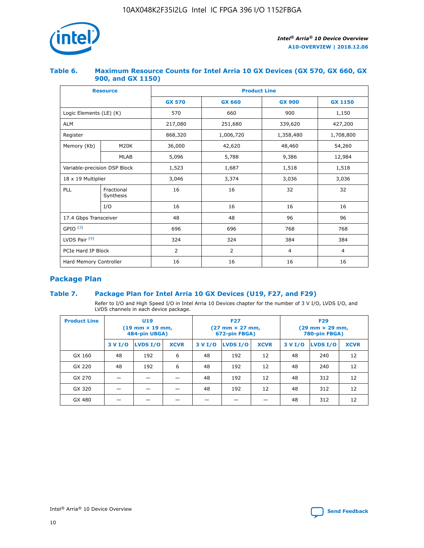

## **Table 6. Maximum Resource Counts for Intel Arria 10 GX Devices (GX 570, GX 660, GX 900, and GX 1150)**

|                              | <b>Resource</b>         | <b>Product Line</b> |                |                |                |  |  |  |
|------------------------------|-------------------------|---------------------|----------------|----------------|----------------|--|--|--|
|                              |                         | <b>GX 570</b>       | <b>GX 660</b>  | <b>GX 900</b>  | <b>GX 1150</b> |  |  |  |
| Logic Elements (LE) (K)      |                         | 570                 | 660            | 900            | 1,150          |  |  |  |
| <b>ALM</b>                   |                         | 217,080             | 251,680        | 339,620        | 427,200        |  |  |  |
| Register                     |                         | 868,320             | 1,006,720      |                | 1,708,800      |  |  |  |
| Memory (Kb)                  | <b>M20K</b>             | 36,000              | 42,620         | 48,460         | 54,260         |  |  |  |
|                              | <b>MLAB</b>             | 5,096               | 5,788          | 9,386          | 12,984         |  |  |  |
| Variable-precision DSP Block |                         | 1,523               | 1,687          | 1,518          | 1,518          |  |  |  |
| $18 \times 19$ Multiplier    |                         | 3,046               | 3,374<br>3,036 |                | 3,036          |  |  |  |
| PLL                          | Fractional<br>Synthesis | 16                  | 16             | 32             | 32             |  |  |  |
|                              | I/O                     | 16                  | 16             | 16             | 16             |  |  |  |
| 17.4 Gbps Transceiver        |                         | 48                  | 48<br>96       |                | 96             |  |  |  |
| GPIO <sup>(3)</sup>          |                         | 696                 | 696            | 768            | 768            |  |  |  |
| LVDS Pair $(4)$              |                         | 324                 | 324            | 384            | 384            |  |  |  |
| PCIe Hard IP Block           |                         | 2                   | $\overline{2}$ | $\overline{4}$ | 4              |  |  |  |
| Hard Memory Controller       |                         | 16                  | 16             | 16             | 16             |  |  |  |

## **Package Plan**

## **Table 7. Package Plan for Intel Arria 10 GX Devices (U19, F27, and F29)**

Refer to I/O and High Speed I/O in Intel Arria 10 Devices chapter for the number of 3 V I/O, LVDS I/O, and LVDS channels in each device package.

| <b>Product Line</b> | U <sub>19</sub><br>$(19 \text{ mm} \times 19 \text{ mm})$<br>484-pin UBGA) |          |             |         | <b>F27</b><br>(27 mm × 27 mm,<br>672-pin FBGA) |             | <b>F29</b><br>$(29 \text{ mm} \times 29 \text{ mm})$<br>780-pin FBGA) |          |             |  |
|---------------------|----------------------------------------------------------------------------|----------|-------------|---------|------------------------------------------------|-------------|-----------------------------------------------------------------------|----------|-------------|--|
|                     | 3 V I/O                                                                    | LVDS I/O | <b>XCVR</b> | 3 V I/O | <b>LVDS I/O</b>                                | <b>XCVR</b> | 3 V I/O                                                               | LVDS I/O | <b>XCVR</b> |  |
| GX 160              | 48                                                                         | 192      | 6           | 48      | 192                                            | 12          | 48                                                                    | 240      | 12          |  |
| GX 220              | 48                                                                         | 192      | 6           | 48      | 192                                            | 12          | 48                                                                    | 240      | 12          |  |
| GX 270              |                                                                            |          |             | 48      | 192                                            | 12          | 48                                                                    | 312      | 12          |  |
| GX 320              |                                                                            |          |             | 48      | 192                                            | 12          | 48                                                                    | 312      | 12          |  |
| GX 480              |                                                                            |          |             |         |                                                |             | 48                                                                    | 312      | 12          |  |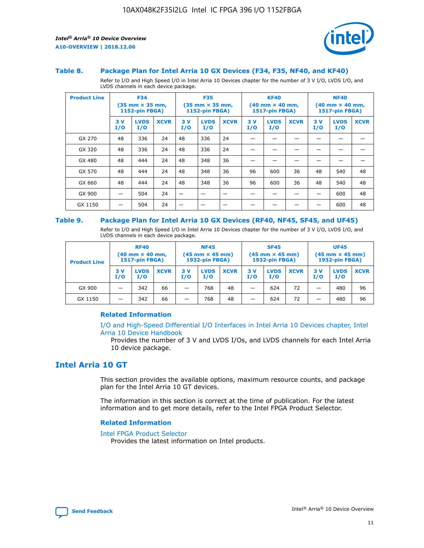

#### **Table 8. Package Plan for Intel Arria 10 GX Devices (F34, F35, NF40, and KF40)**

Refer to I/O and High Speed I/O in Intel Arria 10 Devices chapter for the number of 3 V I/O, LVDS I/O, and LVDS channels in each device package.

| <b>Product Line</b> | <b>F34</b><br>$(35 \text{ mm} \times 35 \text{ mm})$<br>1152-pin FBGA) |                    | <b>F35</b><br>$(35 \text{ mm} \times 35 \text{ mm})$<br><b>1152-pin FBGA)</b> |           | <b>KF40</b><br>$(40$ mm $\times$ 40 mm,<br>1517-pin FBGA) |             |           | <b>NF40</b><br>$(40$ mm $\times$ 40 mm,<br><b>1517-pin FBGA)</b> |             |            |                    |             |
|---------------------|------------------------------------------------------------------------|--------------------|-------------------------------------------------------------------------------|-----------|-----------------------------------------------------------|-------------|-----------|------------------------------------------------------------------|-------------|------------|--------------------|-------------|
|                     | 3V<br>I/O                                                              | <b>LVDS</b><br>I/O | <b>XCVR</b>                                                                   | 3V<br>I/O | <b>LVDS</b><br>I/O                                        | <b>XCVR</b> | 3V<br>I/O | <b>LVDS</b><br>I/O                                               | <b>XCVR</b> | 3 V<br>I/O | <b>LVDS</b><br>I/O | <b>XCVR</b> |
| GX 270              | 48                                                                     | 336                | 24                                                                            | 48        | 336                                                       | 24          |           |                                                                  |             |            |                    |             |
| GX 320              | 48                                                                     | 336                | 24                                                                            | 48        | 336                                                       | 24          |           |                                                                  |             |            |                    |             |
| GX 480              | 48                                                                     | 444                | 24                                                                            | 48        | 348                                                       | 36          |           |                                                                  |             |            |                    |             |
| GX 570              | 48                                                                     | 444                | 24                                                                            | 48        | 348                                                       | 36          | 96        | 600                                                              | 36          | 48         | 540                | 48          |
| GX 660              | 48                                                                     | 444                | 24                                                                            | 48        | 348                                                       | 36          | 96        | 600                                                              | 36          | 48         | 540                | 48          |
| GX 900              |                                                                        | 504                | 24                                                                            | -         |                                                           |             |           |                                                                  |             |            | 600                | 48          |
| GX 1150             |                                                                        | 504                | 24                                                                            |           |                                                           |             |           |                                                                  |             |            | 600                | 48          |

#### **Table 9. Package Plan for Intel Arria 10 GX Devices (RF40, NF45, SF45, and UF45)**

Refer to I/O and High Speed I/O in Intel Arria 10 Devices chapter for the number of 3 V I/O, LVDS I/O, and LVDS channels in each device package.

| <b>Product Line</b> | <b>RF40</b><br>$(40$ mm $\times$ 40 mm,<br>1517-pin FBGA) |                    |             | <b>NF45</b><br>$(45 \text{ mm} \times 45 \text{ mm})$<br><b>1932-pin FBGA)</b> |                    |             | <b>SF45</b><br>$(45 \text{ mm} \times 45 \text{ mm})$<br><b>1932-pin FBGA)</b> |                    |             | <b>UF45</b><br>$(45 \text{ mm} \times 45 \text{ mm})$<br><b>1932-pin FBGA)</b> |                    |             |
|---------------------|-----------------------------------------------------------|--------------------|-------------|--------------------------------------------------------------------------------|--------------------|-------------|--------------------------------------------------------------------------------|--------------------|-------------|--------------------------------------------------------------------------------|--------------------|-------------|
|                     | 3V<br>I/O                                                 | <b>LVDS</b><br>I/O | <b>XCVR</b> | 3 V<br>I/O                                                                     | <b>LVDS</b><br>I/O | <b>XCVR</b> | 3 V<br>I/O                                                                     | <b>LVDS</b><br>I/O | <b>XCVR</b> | 3V<br>I/O                                                                      | <b>LVDS</b><br>I/O | <b>XCVR</b> |
| GX 900              |                                                           | 342                | 66          | _                                                                              | 768                | 48          |                                                                                | 624                | 72          |                                                                                | 480                | 96          |
| GX 1150             |                                                           | 342                | 66          | _                                                                              | 768                | 48          |                                                                                | 624                | 72          |                                                                                | 480                | 96          |

### **Related Information**

[I/O and High-Speed Differential I/O Interfaces in Intel Arria 10 Devices chapter, Intel](https://www.intel.com/content/www/us/en/programmable/documentation/sam1403482614086.html#sam1403482030321) [Arria 10 Device Handbook](https://www.intel.com/content/www/us/en/programmable/documentation/sam1403482614086.html#sam1403482030321)

Provides the number of 3 V and LVDS I/Os, and LVDS channels for each Intel Arria 10 device package.

## **Intel Arria 10 GT**

This section provides the available options, maximum resource counts, and package plan for the Intel Arria 10 GT devices.

The information in this section is correct at the time of publication. For the latest information and to get more details, refer to the Intel FPGA Product Selector.

#### **Related Information**

#### [Intel FPGA Product Selector](http://www.altera.com/products/selector/psg-selector.html)

Provides the latest information on Intel products.

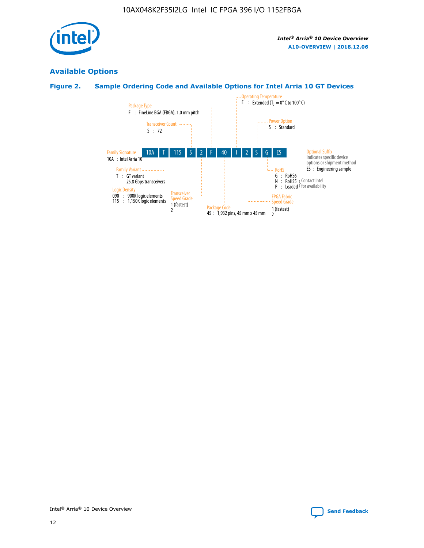

## **Available Options**

## **Figure 2. Sample Ordering Code and Available Options for Intel Arria 10 GT Devices**

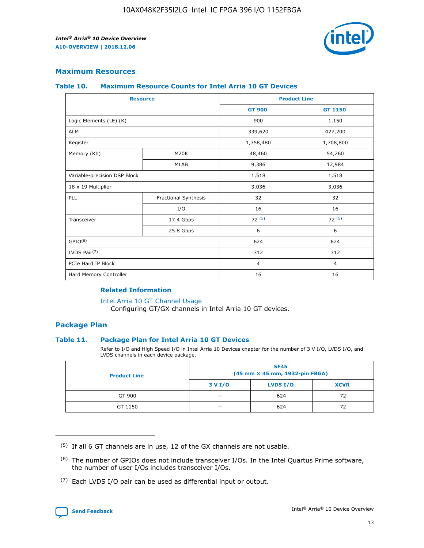

## **Maximum Resources**

#### **Table 10. Maximum Resource Counts for Intel Arria 10 GT Devices**

|                              | <b>Resource</b>      | <b>Product Line</b>                        |                |  |
|------------------------------|----------------------|--------------------------------------------|----------------|--|
|                              |                      | <b>GT 900</b>                              | GT 1150        |  |
| Logic Elements (LE) (K)      |                      | 900                                        | 1,150          |  |
| <b>ALM</b>                   |                      | 339,620                                    | 427,200        |  |
| Register                     |                      | 1,358,480                                  | 1,708,800      |  |
| Memory (Kb)                  | M20K                 | 48,460                                     | 54,260         |  |
|                              | <b>MLAB</b>          | 9,386                                      | 12,984         |  |
| Variable-precision DSP Block |                      | 1,518                                      | 1,518          |  |
| 18 x 19 Multiplier           |                      | 3,036                                      | 3,036          |  |
| <b>PLL</b>                   | Fractional Synthesis | 32                                         | 32             |  |
|                              | I/O                  | 16                                         | 16             |  |
| Transceiver                  | 17.4 Gbps            | 72(5)<br>6<br>624<br>312<br>$\overline{4}$ | 72(5)          |  |
|                              | 25.8 Gbps            |                                            | 6              |  |
| GPIO <sup>(6)</sup>          |                      |                                            | 624            |  |
| LVDS Pair $(7)$              |                      |                                            | 312            |  |
| PCIe Hard IP Block           |                      |                                            | $\overline{4}$ |  |
| Hard Memory Controller       |                      | 16                                         | 16             |  |

## **Related Information**

#### [Intel Arria 10 GT Channel Usage](https://www.intel.com/content/www/us/en/programmable/documentation/nik1398707230472.html#nik1398707008178)

Configuring GT/GX channels in Intel Arria 10 GT devices.

## **Package Plan**

### **Table 11. Package Plan for Intel Arria 10 GT Devices**

Refer to I/O and High Speed I/O in Intel Arria 10 Devices chapter for the number of 3 V I/O, LVDS I/O, and LVDS channels in each device package.

| <b>Product Line</b> | <b>SF45</b><br>(45 mm × 45 mm, 1932-pin FBGA) |                 |             |  |  |  |
|---------------------|-----------------------------------------------|-----------------|-------------|--|--|--|
|                     | 3 V I/O                                       | <b>LVDS I/O</b> | <b>XCVR</b> |  |  |  |
| GT 900              |                                               | 624             | 72          |  |  |  |
| GT 1150             |                                               | 624             | 72          |  |  |  |

<sup>(7)</sup> Each LVDS I/O pair can be used as differential input or output.



 $(5)$  If all 6 GT channels are in use, 12 of the GX channels are not usable.

<sup>(6)</sup> The number of GPIOs does not include transceiver I/Os. In the Intel Quartus Prime software, the number of user I/Os includes transceiver I/Os.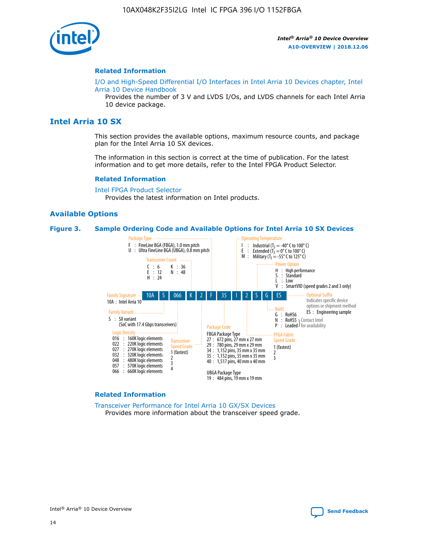

#### **Related Information**

[I/O and High-Speed Differential I/O Interfaces in Intel Arria 10 Devices chapter, Intel](https://www.intel.com/content/www/us/en/programmable/documentation/sam1403482614086.html#sam1403482030321) [Arria 10 Device Handbook](https://www.intel.com/content/www/us/en/programmable/documentation/sam1403482614086.html#sam1403482030321)

Provides the number of 3 V and LVDS I/Os, and LVDS channels for each Intel Arria 10 device package.

## **Intel Arria 10 SX**

This section provides the available options, maximum resource counts, and package plan for the Intel Arria 10 SX devices.

The information in this section is correct at the time of publication. For the latest information and to get more details, refer to the Intel FPGA Product Selector.

#### **Related Information**

[Intel FPGA Product Selector](http://www.altera.com/products/selector/psg-selector.html) Provides the latest information on Intel products.

## **Available Options**

#### **Figure 3. Sample Ordering Code and Available Options for Intel Arria 10 SX Devices**



#### **Related Information**

[Transceiver Performance for Intel Arria 10 GX/SX Devices](https://www.intel.com/content/www/us/en/programmable/documentation/mcn1413182292568.html#mcn1413213965502) Provides more information about the transceiver speed grade.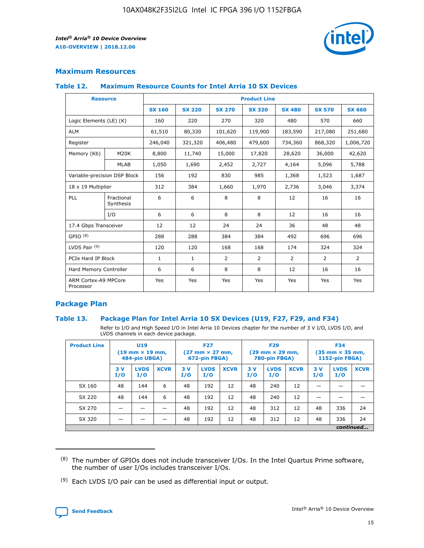

## **Maximum Resources**

#### **Table 12. Maximum Resource Counts for Intel Arria 10 SX Devices**

|                                   | <b>Resource</b>         | <b>Product Line</b> |               |                |                |                |                |                |  |  |  |
|-----------------------------------|-------------------------|---------------------|---------------|----------------|----------------|----------------|----------------|----------------|--|--|--|
|                                   |                         | <b>SX 160</b>       | <b>SX 220</b> | <b>SX 270</b>  | <b>SX 320</b>  | <b>SX 480</b>  | <b>SX 570</b>  | <b>SX 660</b>  |  |  |  |
| Logic Elements (LE) (K)           |                         | 160                 | 220           | 270            | 320            | 480            | 570            | 660            |  |  |  |
| <b>ALM</b>                        |                         | 61,510              | 80,330        | 101,620        | 119,900        | 183,590        | 217,080        | 251,680        |  |  |  |
| Register                          |                         | 246,040             | 321,320       | 406,480        | 479,600        | 734,360        | 868,320        | 1,006,720      |  |  |  |
| Memory (Kb)                       | <b>M20K</b>             | 8,800               | 11,740        | 15,000         | 17,820         | 28,620         | 36,000         | 42,620         |  |  |  |
|                                   | <b>MLAB</b>             | 1,050               | 1,690         | 2,452          | 2,727          | 4,164          | 5,096          | 5,788          |  |  |  |
| Variable-precision DSP Block      |                         | 156                 | 192           | 830            | 985            | 1,368          | 1,523          | 1,687          |  |  |  |
|                                   | 18 x 19 Multiplier      |                     | 384           | 1,660          | 1,970          | 2,736          | 3,046          | 3,374          |  |  |  |
| <b>PLL</b>                        | Fractional<br>Synthesis | 6                   | 6             | 8              | 8              | 12             | 16             | 16             |  |  |  |
|                                   | I/O                     | 6                   | 6             | 8              | 8              | 12             | 16             | 16             |  |  |  |
| 17.4 Gbps Transceiver             |                         | 12                  | 12            | 24             | 24             | 36             | 48             | 48             |  |  |  |
| GPIO <sup>(8)</sup>               |                         | 288                 | 288           | 384            | 384            | 492            | 696            | 696            |  |  |  |
| LVDS Pair $(9)$                   |                         | 120                 | 120           | 168            | 168            | 174            | 324            | 324            |  |  |  |
| PCIe Hard IP Block                |                         | $\mathbf{1}$        | $\mathbf{1}$  | $\overline{2}$ | $\overline{2}$ | $\overline{2}$ | $\overline{2}$ | $\overline{2}$ |  |  |  |
| Hard Memory Controller            |                         | 6                   | 6             | 8              | 8              | 12             | 16             | 16             |  |  |  |
| ARM Cortex-A9 MPCore<br>Processor |                         | Yes                 | Yes           | Yes            | Yes            | Yes            | Yes            | Yes            |  |  |  |

## **Package Plan**

### **Table 13. Package Plan for Intel Arria 10 SX Devices (U19, F27, F29, and F34)**

Refer to I/O and High Speed I/O in Intel Arria 10 Devices chapter for the number of 3 V I/O, LVDS I/O, and LVDS channels in each device package.

| <b>Product Line</b> | <b>U19</b><br>$(19 \text{ mm} \times 19 \text{ mm})$<br>484-pin UBGA) |                    |             | <b>F27</b><br>$(27 \text{ mm} \times 27 \text{ mm})$<br>672-pin FBGA) |                    | <b>F29</b><br>$(29 \text{ mm} \times 29 \text{ mm})$<br>780-pin FBGA) |           |                    | <b>F34</b><br>$(35 \text{ mm} \times 35 \text{ mm})$<br><b>1152-pin FBGA)</b> |           |                    |             |
|---------------------|-----------------------------------------------------------------------|--------------------|-------------|-----------------------------------------------------------------------|--------------------|-----------------------------------------------------------------------|-----------|--------------------|-------------------------------------------------------------------------------|-----------|--------------------|-------------|
|                     | 3V<br>I/O                                                             | <b>LVDS</b><br>I/O | <b>XCVR</b> | 3V<br>I/O                                                             | <b>LVDS</b><br>I/O | <b>XCVR</b>                                                           | 3V<br>I/O | <b>LVDS</b><br>I/O | <b>XCVR</b>                                                                   | 3V<br>I/O | <b>LVDS</b><br>I/O | <b>XCVR</b> |
| SX 160              | 48                                                                    | 144                | 6           | 48                                                                    | 192                | 12                                                                    | 48        | 240                | 12                                                                            | -         |                    |             |
| SX 220              | 48                                                                    | 144                | 6           | 48                                                                    | 192                | 12                                                                    | 48        | 240                | 12                                                                            |           |                    |             |
| SX 270              |                                                                       |                    |             | 48                                                                    | 192                | 12                                                                    | 48        | 312                | 12                                                                            | 48        | 336                | 24          |
| SX 320              |                                                                       |                    |             | 48                                                                    | 192                | 12                                                                    | 48        | 312                | 12                                                                            | 48        | 336                | 24          |
|                     | continued                                                             |                    |             |                                                                       |                    |                                                                       |           |                    |                                                                               |           |                    |             |

 $(8)$  The number of GPIOs does not include transceiver I/Os. In the Intel Quartus Prime software, the number of user I/Os includes transceiver I/Os.

 $(9)$  Each LVDS I/O pair can be used as differential input or output.

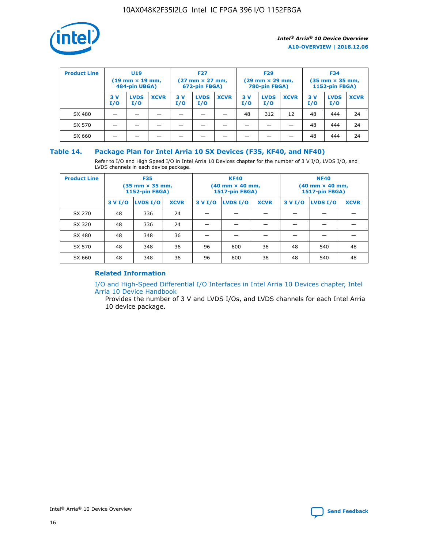

| <b>Product Line</b> | U <sub>19</sub><br>$(19 \text{ mm} \times 19 \text{ mm})$<br>484-pin UBGA) |                    | <b>F27</b><br>$(27 \text{ mm} \times 27 \text{ mm})$<br>672-pin FBGA) |           | <b>F29</b><br>$(29 \text{ mm} \times 29 \text{ mm})$<br>780-pin FBGA) |             |           | <b>F34</b><br>$(35$ mm $\times$ 35 mm,<br><b>1152-pin FBGA)</b> |             |           |                    |             |
|---------------------|----------------------------------------------------------------------------|--------------------|-----------------------------------------------------------------------|-----------|-----------------------------------------------------------------------|-------------|-----------|-----------------------------------------------------------------|-------------|-----------|--------------------|-------------|
|                     | 3V<br>I/O                                                                  | <b>LVDS</b><br>I/O | <b>XCVR</b>                                                           | 3V<br>I/O | <b>LVDS</b><br>I/O                                                    | <b>XCVR</b> | 3V<br>I/O | <b>LVDS</b><br>I/O                                              | <b>XCVR</b> | 3V<br>I/O | <b>LVDS</b><br>I/O | <b>XCVR</b> |
| SX 480              |                                                                            |                    |                                                                       |           |                                                                       |             | 48        | 312                                                             | 12          | 48        | 444                | 24          |
| SX 570              |                                                                            |                    |                                                                       |           |                                                                       |             |           |                                                                 |             | 48        | 444                | 24          |
| SX 660              |                                                                            |                    |                                                                       |           |                                                                       |             |           |                                                                 |             | 48        | 444                | 24          |

## **Table 14. Package Plan for Intel Arria 10 SX Devices (F35, KF40, and NF40)**

Refer to I/O and High Speed I/O in Intel Arria 10 Devices chapter for the number of 3 V I/O, LVDS I/O, and LVDS channels in each device package.

| <b>Product Line</b> | <b>F35</b><br>$(35 \text{ mm} \times 35 \text{ mm})$<br><b>1152-pin FBGA)</b> |          |             |                                           | <b>KF40</b><br>(40 mm × 40 mm,<br>1517-pin FBGA) |    | <b>NF40</b><br>$(40 \text{ mm} \times 40 \text{ mm})$<br>1517-pin FBGA) |          |             |  |
|---------------------|-------------------------------------------------------------------------------|----------|-------------|-------------------------------------------|--------------------------------------------------|----|-------------------------------------------------------------------------|----------|-------------|--|
|                     | 3 V I/O                                                                       | LVDS I/O | <b>XCVR</b> | <b>LVDS I/O</b><br><b>XCVR</b><br>3 V I/O |                                                  |    | 3 V I/O                                                                 | LVDS I/O | <b>XCVR</b> |  |
| SX 270              | 48                                                                            | 336      | 24          |                                           |                                                  |    |                                                                         |          |             |  |
| SX 320              | 48                                                                            | 336      | 24          |                                           |                                                  |    |                                                                         |          |             |  |
| SX 480              | 48                                                                            | 348      | 36          |                                           |                                                  |    |                                                                         |          |             |  |
| SX 570              | 48                                                                            | 348      | 36          | 96                                        | 600                                              | 36 | 48                                                                      | 540      | 48          |  |
| SX 660              | 48                                                                            | 348      | 36          | 96                                        | 600                                              | 36 | 48                                                                      | 540      | 48          |  |

## **Related Information**

[I/O and High-Speed Differential I/O Interfaces in Intel Arria 10 Devices chapter, Intel](https://www.intel.com/content/www/us/en/programmable/documentation/sam1403482614086.html#sam1403482030321) [Arria 10 Device Handbook](https://www.intel.com/content/www/us/en/programmable/documentation/sam1403482614086.html#sam1403482030321)

Provides the number of 3 V and LVDS I/Os, and LVDS channels for each Intel Arria 10 device package.

Intel<sup>®</sup> Arria<sup>®</sup> 10 Device Overview **[Send Feedback](mailto:FPGAtechdocfeedback@intel.com?subject=Feedback%20on%20Intel%20Arria%2010%20Device%20Overview%20(A10-OVERVIEW%202018.12.06)&body=We%20appreciate%20your%20feedback.%20In%20your%20comments,%20also%20specify%20the%20page%20number%20or%20paragraph.%20Thank%20you.)** Send Feedback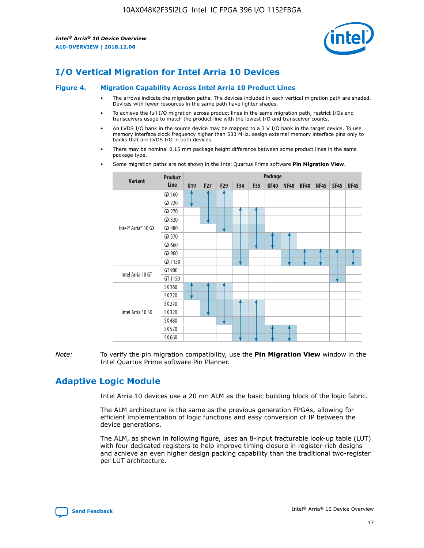

# **I/O Vertical Migration for Intel Arria 10 Devices**

#### **Figure 4. Migration Capability Across Intel Arria 10 Product Lines**

- The arrows indicate the migration paths. The devices included in each vertical migration path are shaded. Devices with fewer resources in the same path have lighter shades.
- To achieve the full I/O migration across product lines in the same migration path, restrict I/Os and transceivers usage to match the product line with the lowest I/O and transceiver counts.
- An LVDS I/O bank in the source device may be mapped to a 3 V I/O bank in the target device. To use memory interface clock frequency higher than 533 MHz, assign external memory interface pins only to banks that are LVDS I/O in both devices.
- There may be nominal 0.15 mm package height difference between some product lines in the same package type.
	- **Variant Product Line Package U19 F27 F29 F34 F35 KF40 NF40 RF40 NF45 SF45 UF45** Intel® Arria® 10 GX GX 160 GX 220 GX 270 GX 320 GX 480 GX 570 GX 660 GX 900 GX 1150 Intel Arria 10 GT GT 900 GT 1150 Intel Arria 10 SX SX 160 SX 220 SX 270 SX 320 SX 480 SX 570 SX 660
- Some migration paths are not shown in the Intel Quartus Prime software **Pin Migration View**.

*Note:* To verify the pin migration compatibility, use the **Pin Migration View** window in the Intel Quartus Prime software Pin Planner.

## **Adaptive Logic Module**

Intel Arria 10 devices use a 20 nm ALM as the basic building block of the logic fabric.

The ALM architecture is the same as the previous generation FPGAs, allowing for efficient implementation of logic functions and easy conversion of IP between the device generations.

The ALM, as shown in following figure, uses an 8-input fracturable look-up table (LUT) with four dedicated registers to help improve timing closure in register-rich designs and achieve an even higher design packing capability than the traditional two-register per LUT architecture.

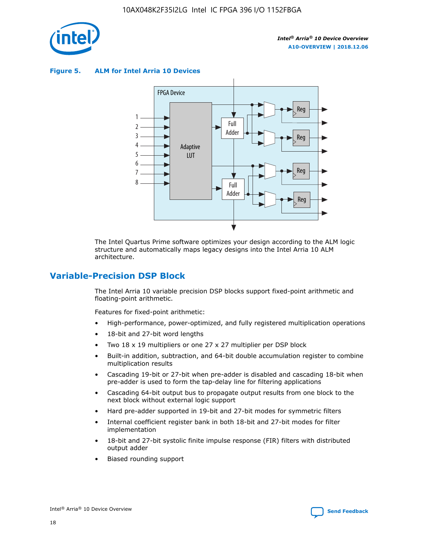

**Figure 5. ALM for Intel Arria 10 Devices**



The Intel Quartus Prime software optimizes your design according to the ALM logic structure and automatically maps legacy designs into the Intel Arria 10 ALM architecture.

## **Variable-Precision DSP Block**

The Intel Arria 10 variable precision DSP blocks support fixed-point arithmetic and floating-point arithmetic.

Features for fixed-point arithmetic:

- High-performance, power-optimized, and fully registered multiplication operations
- 18-bit and 27-bit word lengths
- Two 18 x 19 multipliers or one 27 x 27 multiplier per DSP block
- Built-in addition, subtraction, and 64-bit double accumulation register to combine multiplication results
- Cascading 19-bit or 27-bit when pre-adder is disabled and cascading 18-bit when pre-adder is used to form the tap-delay line for filtering applications
- Cascading 64-bit output bus to propagate output results from one block to the next block without external logic support
- Hard pre-adder supported in 19-bit and 27-bit modes for symmetric filters
- Internal coefficient register bank in both 18-bit and 27-bit modes for filter implementation
- 18-bit and 27-bit systolic finite impulse response (FIR) filters with distributed output adder
- Biased rounding support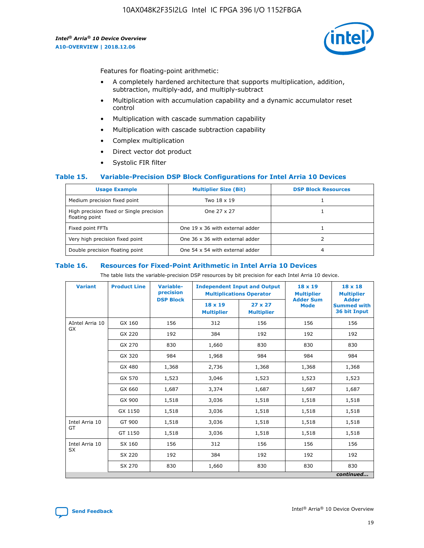

Features for floating-point arithmetic:

- A completely hardened architecture that supports multiplication, addition, subtraction, multiply-add, and multiply-subtract
- Multiplication with accumulation capability and a dynamic accumulator reset control
- Multiplication with cascade summation capability
- Multiplication with cascade subtraction capability
- Complex multiplication
- Direct vector dot product
- Systolic FIR filter

### **Table 15. Variable-Precision DSP Block Configurations for Intel Arria 10 Devices**

| <b>Usage Example</b>                                       | <b>Multiplier Size (Bit)</b>    | <b>DSP Block Resources</b> |
|------------------------------------------------------------|---------------------------------|----------------------------|
| Medium precision fixed point                               | Two 18 x 19                     |                            |
| High precision fixed or Single precision<br>floating point | One 27 x 27                     |                            |
| Fixed point FFTs                                           | One 19 x 36 with external adder |                            |
| Very high precision fixed point                            | One 36 x 36 with external adder |                            |
| Double precision floating point                            | One 54 x 54 with external adder | 4                          |

#### **Table 16. Resources for Fixed-Point Arithmetic in Intel Arria 10 Devices**

The table lists the variable-precision DSP resources by bit precision for each Intel Arria 10 device.

| <b>Variant</b>               | <b>Product Line</b> | <b>Variable-</b><br>precision | <b>Independent Input and Output</b><br><b>Multiplications Operator</b> |                                     | 18 x 19<br><b>Multiplier</b>    | $18 \times 18$<br><b>Multiplier</b>                |
|------------------------------|---------------------|-------------------------------|------------------------------------------------------------------------|-------------------------------------|---------------------------------|----------------------------------------------------|
|                              |                     | <b>DSP Block</b>              | 18 x 19<br><b>Multiplier</b>                                           | $27 \times 27$<br><b>Multiplier</b> | <b>Adder Sum</b><br><b>Mode</b> | <b>Adder</b><br><b>Summed with</b><br>36 bit Input |
| AIntel Arria 10<br><b>GX</b> | GX 160              | 156                           | 312                                                                    | 156                                 | 156                             | 156                                                |
|                              | GX 220              | 192                           | 384                                                                    | 192                                 | 192                             | 192                                                |
|                              | GX 270              | 830                           | 1,660                                                                  | 830                                 | 830                             | 830                                                |
|                              | GX 320              | 984                           | 1,968                                                                  | 984                                 | 984                             | 984                                                |
|                              | GX 480              | 1,368                         | 2,736                                                                  | 1,368                               | 1,368                           | 1,368                                              |
|                              | GX 570              | 1,523                         | 3,046                                                                  | 1,523                               | 1,523                           | 1,523                                              |
|                              | GX 660              | 1,687                         | 3,374                                                                  | 1,687                               | 1,687                           | 1,687                                              |
|                              | GX 900              | 1,518                         | 3,036                                                                  | 1,518                               | 1,518                           | 1,518                                              |
|                              | GX 1150             | 1,518                         | 3,036                                                                  | 1,518                               | 1,518                           | 1,518                                              |
| Intel Arria 10               | GT 900              | 1,518                         | 3,036                                                                  | 1,518                               | 1,518                           | 1,518                                              |
| GT                           | GT 1150             | 1,518                         | 3,036                                                                  | 1,518                               | 1,518                           | 1,518                                              |
| Intel Arria 10               | SX 160              | 156                           | 312                                                                    | 156                                 | 156                             | 156                                                |
| <b>SX</b>                    | SX 220              | 192                           | 384                                                                    | 192                                 | 192                             | 192                                                |
|                              | SX 270              | 830                           | 1,660                                                                  | 830                                 | 830                             | 830                                                |
|                              |                     |                               |                                                                        |                                     |                                 | continued                                          |

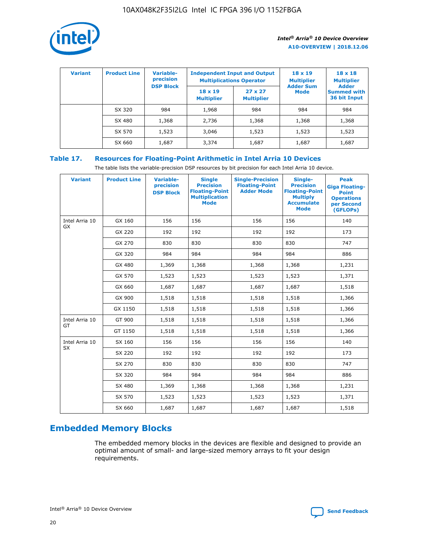

| <b>Variant</b> | <b>Product Line</b> | <b>Variable-</b><br>precision |                                     | <b>Independent Input and Output</b><br><b>Multiplications Operator</b> | $18 \times 19$<br><b>Multiplier</b> | $18 \times 18$<br><b>Multiplier</b>                |
|----------------|---------------------|-------------------------------|-------------------------------------|------------------------------------------------------------------------|-------------------------------------|----------------------------------------------------|
|                |                     | <b>DSP Block</b>              | $18 \times 19$<br><b>Multiplier</b> | $27 \times 27$<br><b>Multiplier</b>                                    | <b>Adder Sum</b><br><b>Mode</b>     | <b>Adder</b><br><b>Summed with</b><br>36 bit Input |
|                | SX 320              | 984                           | 1,968                               | 984                                                                    | 984                                 | 984                                                |
|                | SX 480              | 1,368                         | 2,736                               | 1,368                                                                  | 1,368                               | 1,368                                              |
|                | SX 570              | 1,523                         | 3,046                               | 1,523                                                                  | 1,523                               | 1,523                                              |
|                | SX 660              | 1,687                         | 3,374                               | 1,687                                                                  | 1,687                               | 1,687                                              |

## **Table 17. Resources for Floating-Point Arithmetic in Intel Arria 10 Devices**

The table lists the variable-precision DSP resources by bit precision for each Intel Arria 10 device.

| <b>Variant</b> | <b>Product Line</b> | <b>Variable-</b><br>precision<br><b>DSP Block</b> | <b>Single</b><br><b>Precision</b><br><b>Floating-Point</b><br><b>Multiplication</b><br><b>Mode</b> | <b>Single-Precision</b><br><b>Floating-Point</b><br><b>Adder Mode</b> | Single-<br><b>Precision</b><br><b>Floating-Point</b><br><b>Multiply</b><br><b>Accumulate</b><br><b>Mode</b> | <b>Peak</b><br><b>Giga Floating-</b><br><b>Point</b><br><b>Operations</b><br>per Second<br>(GFLOPs) |
|----------------|---------------------|---------------------------------------------------|----------------------------------------------------------------------------------------------------|-----------------------------------------------------------------------|-------------------------------------------------------------------------------------------------------------|-----------------------------------------------------------------------------------------------------|
| Intel Arria 10 | GX 160              | 156                                               | 156                                                                                                | 156                                                                   | 156                                                                                                         | 140                                                                                                 |
| <b>GX</b>      | GX 220              | 192                                               | 192                                                                                                | 192                                                                   | 192                                                                                                         | 173                                                                                                 |
|                | GX 270              | 830                                               | 830                                                                                                | 830                                                                   | 830                                                                                                         | 747                                                                                                 |
|                | GX 320              | 984                                               | 984                                                                                                | 984                                                                   | 984                                                                                                         | 886                                                                                                 |
|                | GX 480              | 1,369                                             | 1,368                                                                                              | 1,368                                                                 | 1,368                                                                                                       | 1,231                                                                                               |
|                | GX 570              | 1,523                                             | 1,523                                                                                              | 1,523                                                                 | 1,523                                                                                                       | 1,371                                                                                               |
|                | GX 660              | 1,687                                             | 1,687                                                                                              | 1,687                                                                 | 1,687                                                                                                       | 1,518                                                                                               |
|                | GX 900              | 1,518                                             | 1,518                                                                                              | 1,518                                                                 | 1,518                                                                                                       | 1,366                                                                                               |
|                | GX 1150             | 1,518                                             | 1,518                                                                                              | 1,518                                                                 | 1,518                                                                                                       | 1,366                                                                                               |
| Intel Arria 10 | GT 900              | 1,518                                             | 1,518                                                                                              | 1,518                                                                 | 1,518                                                                                                       | 1,366                                                                                               |
| GT             | GT 1150             | 1,518                                             | 1,518                                                                                              | 1,518                                                                 | 1,518                                                                                                       | 1,366                                                                                               |
| Intel Arria 10 | SX 160              | 156                                               | 156                                                                                                | 156                                                                   | 156                                                                                                         | 140                                                                                                 |
| SX             | SX 220              | 192                                               | 192                                                                                                | 192                                                                   | 192                                                                                                         | 173                                                                                                 |
|                | SX 270              | 830                                               | 830                                                                                                | 830                                                                   | 830                                                                                                         | 747                                                                                                 |
|                | SX 320              | 984                                               | 984                                                                                                | 984                                                                   | 984                                                                                                         | 886                                                                                                 |
|                | SX 480              | 1,369                                             | 1,368                                                                                              | 1,368                                                                 | 1,368                                                                                                       | 1,231                                                                                               |
|                | SX 570              | 1,523                                             | 1,523                                                                                              | 1,523                                                                 | 1,523                                                                                                       | 1,371                                                                                               |
|                | SX 660              | 1,687                                             | 1,687                                                                                              | 1,687                                                                 | 1,687                                                                                                       | 1,518                                                                                               |

# **Embedded Memory Blocks**

The embedded memory blocks in the devices are flexible and designed to provide an optimal amount of small- and large-sized memory arrays to fit your design requirements.

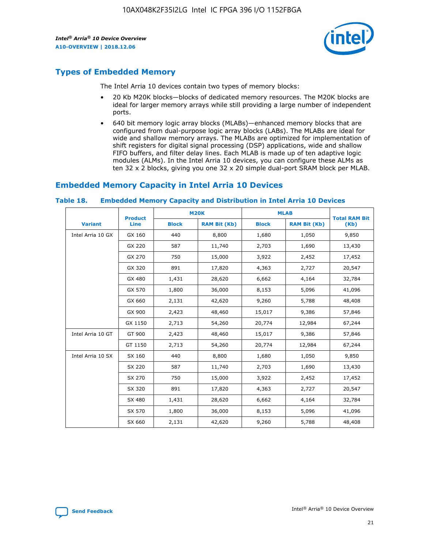

## **Types of Embedded Memory**

The Intel Arria 10 devices contain two types of memory blocks:

- 20 Kb M20K blocks—blocks of dedicated memory resources. The M20K blocks are ideal for larger memory arrays while still providing a large number of independent ports.
- 640 bit memory logic array blocks (MLABs)—enhanced memory blocks that are configured from dual-purpose logic array blocks (LABs). The MLABs are ideal for wide and shallow memory arrays. The MLABs are optimized for implementation of shift registers for digital signal processing (DSP) applications, wide and shallow FIFO buffers, and filter delay lines. Each MLAB is made up of ten adaptive logic modules (ALMs). In the Intel Arria 10 devices, you can configure these ALMs as ten 32 x 2 blocks, giving you one 32 x 20 simple dual-port SRAM block per MLAB.

## **Embedded Memory Capacity in Intel Arria 10 Devices**

|                   | <b>Product</b> |              | <b>M20K</b>         | <b>MLAB</b>  |                     | <b>Total RAM Bit</b> |
|-------------------|----------------|--------------|---------------------|--------------|---------------------|----------------------|
| <b>Variant</b>    | <b>Line</b>    | <b>Block</b> | <b>RAM Bit (Kb)</b> | <b>Block</b> | <b>RAM Bit (Kb)</b> | (Kb)                 |
| Intel Arria 10 GX | GX 160         | 440          | 8,800               | 1,680        | 1,050               | 9,850                |
|                   | GX 220         | 587          | 11,740              | 2,703        | 1,690               | 13,430               |
|                   | GX 270         | 750          | 15,000              | 3,922        | 2,452               | 17,452               |
|                   | GX 320         | 891          | 17,820              | 4,363        | 2,727               | 20,547               |
|                   | GX 480         | 1,431        | 28,620              | 6,662        | 4,164               | 32,784               |
|                   | GX 570         | 1,800        | 36,000              | 8,153        | 5,096               | 41,096               |
|                   | GX 660         | 2,131        | 42,620              | 9,260        | 5,788               | 48,408               |
|                   | GX 900         | 2,423        | 48,460              | 15,017       | 9,386               | 57,846               |
|                   | GX 1150        | 2,713        | 54,260              | 20,774       | 12,984              | 67,244               |
| Intel Arria 10 GT | GT 900         | 2,423        | 48,460              | 15,017       | 9,386               | 57,846               |
|                   | GT 1150        | 2,713        | 54,260              | 20,774       | 12,984              | 67,244               |
| Intel Arria 10 SX | SX 160         | 440          | 8,800               | 1,680        | 1,050               | 9,850                |
|                   | SX 220         | 587          | 11,740              | 2,703        | 1,690               | 13,430               |
|                   | SX 270         | 750          | 15,000              | 3,922        | 2,452               | 17,452               |
|                   | SX 320         | 891          | 17,820              | 4,363        | 2,727               | 20,547               |
|                   | SX 480         | 1,431        | 28,620              | 6,662        | 4,164               | 32,784               |
|                   | SX 570         | 1,800        | 36,000              | 8,153        | 5,096               | 41,096               |
|                   | SX 660         | 2,131        | 42,620              | 9,260        | 5,788               | 48,408               |

#### **Table 18. Embedded Memory Capacity and Distribution in Intel Arria 10 Devices**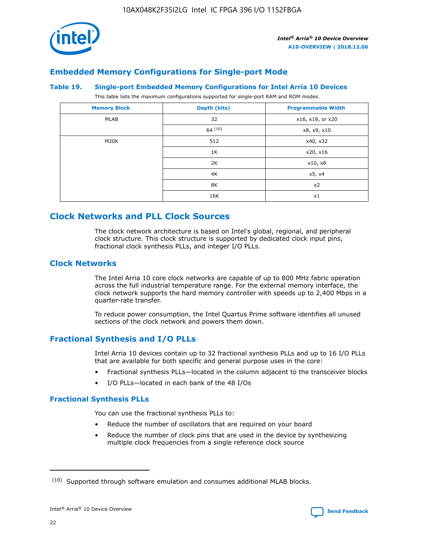

## **Embedded Memory Configurations for Single-port Mode**

#### **Table 19. Single-port Embedded Memory Configurations for Intel Arria 10 Devices**

This table lists the maximum configurations supported for single-port RAM and ROM modes.

| <b>Memory Block</b> | Depth (bits) | <b>Programmable Width</b> |
|---------------------|--------------|---------------------------|
| MLAB                | 32           | x16, x18, or x20          |
|                     | 64(10)       | x8, x9, x10               |
| M20K                | 512          | x40, x32                  |
|                     | 1K           | x20, x16                  |
|                     | 2K           | x10, x8                   |
|                     | 4K           | x5, x4                    |
|                     | 8K           | x2                        |
|                     | 16K          | x1                        |

## **Clock Networks and PLL Clock Sources**

The clock network architecture is based on Intel's global, regional, and peripheral clock structure. This clock structure is supported by dedicated clock input pins, fractional clock synthesis PLLs, and integer I/O PLLs.

## **Clock Networks**

The Intel Arria 10 core clock networks are capable of up to 800 MHz fabric operation across the full industrial temperature range. For the external memory interface, the clock network supports the hard memory controller with speeds up to 2,400 Mbps in a quarter-rate transfer.

To reduce power consumption, the Intel Quartus Prime software identifies all unused sections of the clock network and powers them down.

## **Fractional Synthesis and I/O PLLs**

Intel Arria 10 devices contain up to 32 fractional synthesis PLLs and up to 16 I/O PLLs that are available for both specific and general purpose uses in the core:

- Fractional synthesis PLLs—located in the column adjacent to the transceiver blocks
- I/O PLLs—located in each bank of the 48 I/Os

### **Fractional Synthesis PLLs**

You can use the fractional synthesis PLLs to:

- Reduce the number of oscillators that are required on your board
- Reduce the number of clock pins that are used in the device by synthesizing multiple clock frequencies from a single reference clock source

<sup>(10)</sup> Supported through software emulation and consumes additional MLAB blocks.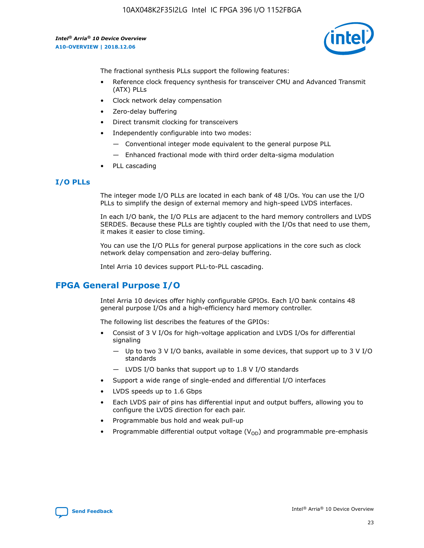

The fractional synthesis PLLs support the following features:

- Reference clock frequency synthesis for transceiver CMU and Advanced Transmit (ATX) PLLs
- Clock network delay compensation
- Zero-delay buffering
- Direct transmit clocking for transceivers
- Independently configurable into two modes:
	- Conventional integer mode equivalent to the general purpose PLL
	- Enhanced fractional mode with third order delta-sigma modulation
- PLL cascading

## **I/O PLLs**

The integer mode I/O PLLs are located in each bank of 48 I/Os. You can use the I/O PLLs to simplify the design of external memory and high-speed LVDS interfaces.

In each I/O bank, the I/O PLLs are adjacent to the hard memory controllers and LVDS SERDES. Because these PLLs are tightly coupled with the I/Os that need to use them, it makes it easier to close timing.

You can use the I/O PLLs for general purpose applications in the core such as clock network delay compensation and zero-delay buffering.

Intel Arria 10 devices support PLL-to-PLL cascading.

## **FPGA General Purpose I/O**

Intel Arria 10 devices offer highly configurable GPIOs. Each I/O bank contains 48 general purpose I/Os and a high-efficiency hard memory controller.

The following list describes the features of the GPIOs:

- Consist of 3 V I/Os for high-voltage application and LVDS I/Os for differential signaling
	- Up to two 3 V I/O banks, available in some devices, that support up to 3 V I/O standards
	- LVDS I/O banks that support up to 1.8 V I/O standards
- Support a wide range of single-ended and differential I/O interfaces
- LVDS speeds up to 1.6 Gbps
- Each LVDS pair of pins has differential input and output buffers, allowing you to configure the LVDS direction for each pair.
- Programmable bus hold and weak pull-up
- Programmable differential output voltage  $(V_{OD})$  and programmable pre-emphasis

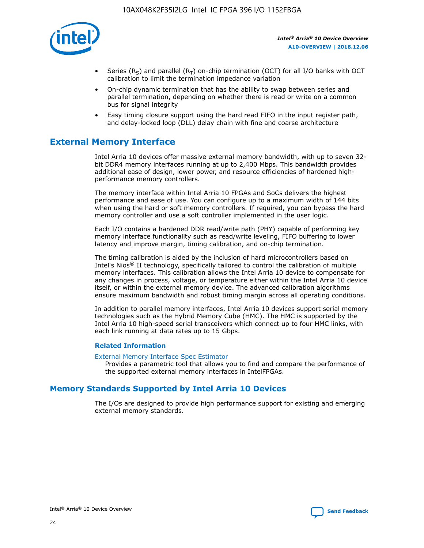

- Series (R<sub>S</sub>) and parallel (R<sub>T</sub>) on-chip termination (OCT) for all I/O banks with OCT calibration to limit the termination impedance variation
- On-chip dynamic termination that has the ability to swap between series and parallel termination, depending on whether there is read or write on a common bus for signal integrity
- Easy timing closure support using the hard read FIFO in the input register path, and delay-locked loop (DLL) delay chain with fine and coarse architecture

## **External Memory Interface**

Intel Arria 10 devices offer massive external memory bandwidth, with up to seven 32 bit DDR4 memory interfaces running at up to 2,400 Mbps. This bandwidth provides additional ease of design, lower power, and resource efficiencies of hardened highperformance memory controllers.

The memory interface within Intel Arria 10 FPGAs and SoCs delivers the highest performance and ease of use. You can configure up to a maximum width of 144 bits when using the hard or soft memory controllers. If required, you can bypass the hard memory controller and use a soft controller implemented in the user logic.

Each I/O contains a hardened DDR read/write path (PHY) capable of performing key memory interface functionality such as read/write leveling, FIFO buffering to lower latency and improve margin, timing calibration, and on-chip termination.

The timing calibration is aided by the inclusion of hard microcontrollers based on Intel's Nios® II technology, specifically tailored to control the calibration of multiple memory interfaces. This calibration allows the Intel Arria 10 device to compensate for any changes in process, voltage, or temperature either within the Intel Arria 10 device itself, or within the external memory device. The advanced calibration algorithms ensure maximum bandwidth and robust timing margin across all operating conditions.

In addition to parallel memory interfaces, Intel Arria 10 devices support serial memory technologies such as the Hybrid Memory Cube (HMC). The HMC is supported by the Intel Arria 10 high-speed serial transceivers which connect up to four HMC links, with each link running at data rates up to 15 Gbps.

### **Related Information**

#### [External Memory Interface Spec Estimator](http://www.altera.com/technology/memory/estimator/mem-emif-index.html)

Provides a parametric tool that allows you to find and compare the performance of the supported external memory interfaces in IntelFPGAs.

## **Memory Standards Supported by Intel Arria 10 Devices**

The I/Os are designed to provide high performance support for existing and emerging external memory standards.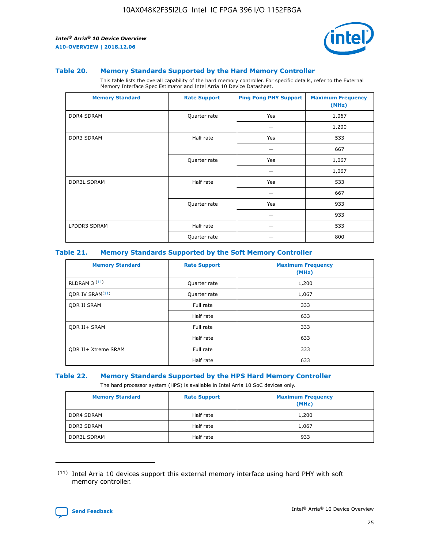

#### **Table 20. Memory Standards Supported by the Hard Memory Controller**

This table lists the overall capability of the hard memory controller. For specific details, refer to the External Memory Interface Spec Estimator and Intel Arria 10 Device Datasheet.

| <b>Memory Standard</b> | <b>Rate Support</b> | <b>Ping Pong PHY Support</b> | <b>Maximum Frequency</b><br>(MHz) |
|------------------------|---------------------|------------------------------|-----------------------------------|
| <b>DDR4 SDRAM</b>      | Quarter rate        | Yes                          | 1,067                             |
|                        |                     |                              | 1,200                             |
| DDR3 SDRAM             | Half rate           | Yes                          | 533                               |
|                        |                     |                              | 667                               |
|                        | Quarter rate        | Yes                          | 1,067                             |
|                        |                     |                              | 1,067                             |
| <b>DDR3L SDRAM</b>     | Half rate           | Yes                          | 533                               |
|                        |                     |                              | 667                               |
|                        | Quarter rate        | Yes                          | 933                               |
|                        |                     |                              | 933                               |
| LPDDR3 SDRAM           | Half rate           |                              | 533                               |
|                        | Quarter rate        |                              | 800                               |

#### **Table 21. Memory Standards Supported by the Soft Memory Controller**

| <b>Memory Standard</b>      | <b>Rate Support</b> | <b>Maximum Frequency</b><br>(MHz) |
|-----------------------------|---------------------|-----------------------------------|
| <b>RLDRAM 3 (11)</b>        | Quarter rate        | 1,200                             |
| ODR IV SRAM <sup>(11)</sup> | Quarter rate        | 1,067                             |
| <b>ODR II SRAM</b>          | Full rate           | 333                               |
|                             | Half rate           | 633                               |
| <b>ODR II+ SRAM</b>         | Full rate           | 333                               |
|                             | Half rate           | 633                               |
| <b>ODR II+ Xtreme SRAM</b>  | Full rate           | 333                               |
|                             | Half rate           | 633                               |

#### **Table 22. Memory Standards Supported by the HPS Hard Memory Controller**

The hard processor system (HPS) is available in Intel Arria 10 SoC devices only.

| <b>Memory Standard</b> | <b>Rate Support</b> | <b>Maximum Frequency</b><br>(MHz) |
|------------------------|---------------------|-----------------------------------|
| <b>DDR4 SDRAM</b>      | Half rate           | 1,200                             |
| <b>DDR3 SDRAM</b>      | Half rate           | 1,067                             |
| <b>DDR3L SDRAM</b>     | Half rate           | 933                               |

<sup>(11)</sup> Intel Arria 10 devices support this external memory interface using hard PHY with soft memory controller.

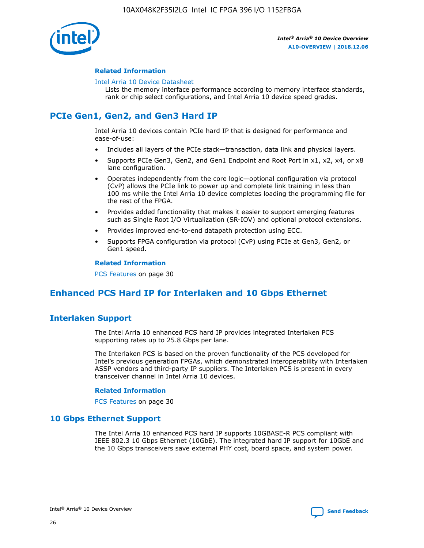

### **Related Information**

#### [Intel Arria 10 Device Datasheet](https://www.intel.com/content/www/us/en/programmable/documentation/mcn1413182292568.html#mcn1413182153340)

Lists the memory interface performance according to memory interface standards, rank or chip select configurations, and Intel Arria 10 device speed grades.

## **PCIe Gen1, Gen2, and Gen3 Hard IP**

Intel Arria 10 devices contain PCIe hard IP that is designed for performance and ease-of-use:

- Includes all layers of the PCIe stack—transaction, data link and physical layers.
- Supports PCIe Gen3, Gen2, and Gen1 Endpoint and Root Port in x1, x2, x4, or x8 lane configuration.
- Operates independently from the core logic—optional configuration via protocol (CvP) allows the PCIe link to power up and complete link training in less than 100 ms while the Intel Arria 10 device completes loading the programming file for the rest of the FPGA.
- Provides added functionality that makes it easier to support emerging features such as Single Root I/O Virtualization (SR-IOV) and optional protocol extensions.
- Provides improved end-to-end datapath protection using ECC.
- Supports FPGA configuration via protocol (CvP) using PCIe at Gen3, Gen2, or Gen1 speed.

#### **Related Information**

PCS Features on page 30

## **Enhanced PCS Hard IP for Interlaken and 10 Gbps Ethernet**

## **Interlaken Support**

The Intel Arria 10 enhanced PCS hard IP provides integrated Interlaken PCS supporting rates up to 25.8 Gbps per lane.

The Interlaken PCS is based on the proven functionality of the PCS developed for Intel's previous generation FPGAs, which demonstrated interoperability with Interlaken ASSP vendors and third-party IP suppliers. The Interlaken PCS is present in every transceiver channel in Intel Arria 10 devices.

### **Related Information**

PCS Features on page 30

## **10 Gbps Ethernet Support**

The Intel Arria 10 enhanced PCS hard IP supports 10GBASE-R PCS compliant with IEEE 802.3 10 Gbps Ethernet (10GbE). The integrated hard IP support for 10GbE and the 10 Gbps transceivers save external PHY cost, board space, and system power.

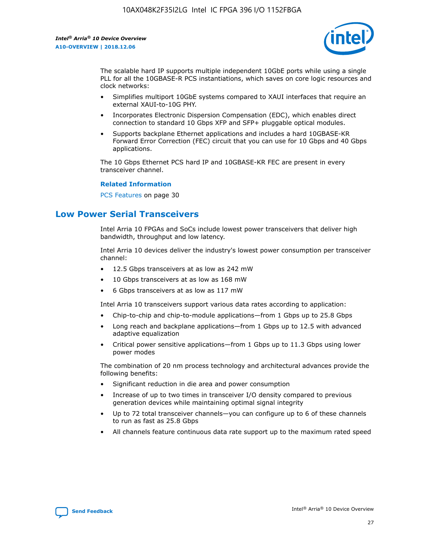

The scalable hard IP supports multiple independent 10GbE ports while using a single PLL for all the 10GBASE-R PCS instantiations, which saves on core logic resources and clock networks:

- Simplifies multiport 10GbE systems compared to XAUI interfaces that require an external XAUI-to-10G PHY.
- Incorporates Electronic Dispersion Compensation (EDC), which enables direct connection to standard 10 Gbps XFP and SFP+ pluggable optical modules.
- Supports backplane Ethernet applications and includes a hard 10GBASE-KR Forward Error Correction (FEC) circuit that you can use for 10 Gbps and 40 Gbps applications.

The 10 Gbps Ethernet PCS hard IP and 10GBASE-KR FEC are present in every transceiver channel.

### **Related Information**

PCS Features on page 30

## **Low Power Serial Transceivers**

Intel Arria 10 FPGAs and SoCs include lowest power transceivers that deliver high bandwidth, throughput and low latency.

Intel Arria 10 devices deliver the industry's lowest power consumption per transceiver channel:

- 12.5 Gbps transceivers at as low as 242 mW
- 10 Gbps transceivers at as low as 168 mW
- 6 Gbps transceivers at as low as 117 mW

Intel Arria 10 transceivers support various data rates according to application:

- Chip-to-chip and chip-to-module applications—from 1 Gbps up to 25.8 Gbps
- Long reach and backplane applications—from 1 Gbps up to 12.5 with advanced adaptive equalization
- Critical power sensitive applications—from 1 Gbps up to 11.3 Gbps using lower power modes

The combination of 20 nm process technology and architectural advances provide the following benefits:

- Significant reduction in die area and power consumption
- Increase of up to two times in transceiver I/O density compared to previous generation devices while maintaining optimal signal integrity
- Up to 72 total transceiver channels—you can configure up to 6 of these channels to run as fast as 25.8 Gbps
- All channels feature continuous data rate support up to the maximum rated speed

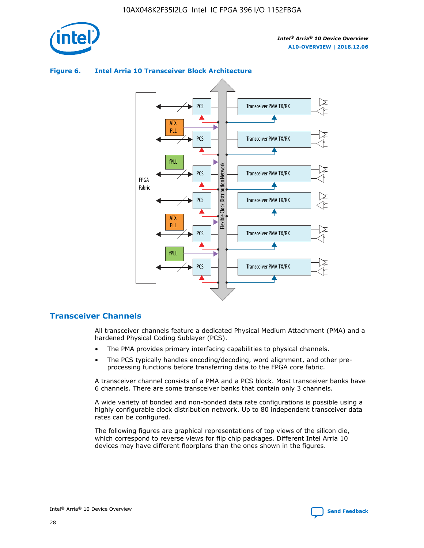

## Transceiver PMA TX/RX PCS ATX PLL Transceiver PMA TX/RX PCS fPLL Network Flexible Clock Distribution Network PCS Transceiver PMA TX/RX FPGA **Clock Distribution** Fabric PCS Transceiver PMA TX/RX ATX Flexible PLL PCS Transceiver PMA TX/RX ▲ fPLL Transceiver PMA TX/RX PCS 4

## **Figure 6. Intel Arria 10 Transceiver Block Architecture**

## **Transceiver Channels**

All transceiver channels feature a dedicated Physical Medium Attachment (PMA) and a hardened Physical Coding Sublayer (PCS).

- The PMA provides primary interfacing capabilities to physical channels.
- The PCS typically handles encoding/decoding, word alignment, and other preprocessing functions before transferring data to the FPGA core fabric.

A transceiver channel consists of a PMA and a PCS block. Most transceiver banks have 6 channels. There are some transceiver banks that contain only 3 channels.

A wide variety of bonded and non-bonded data rate configurations is possible using a highly configurable clock distribution network. Up to 80 independent transceiver data rates can be configured.

The following figures are graphical representations of top views of the silicon die, which correspond to reverse views for flip chip packages. Different Intel Arria 10 devices may have different floorplans than the ones shown in the figures.

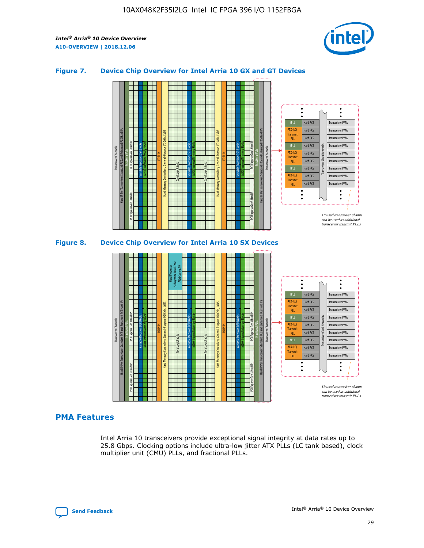

## **Figure 7. Device Chip Overview for Intel Arria 10 GX and GT Devices**





## **PMA Features**

Intel Arria 10 transceivers provide exceptional signal integrity at data rates up to 25.8 Gbps. Clocking options include ultra-low jitter ATX PLLs (LC tank based), clock multiplier unit (CMU) PLLs, and fractional PLLs.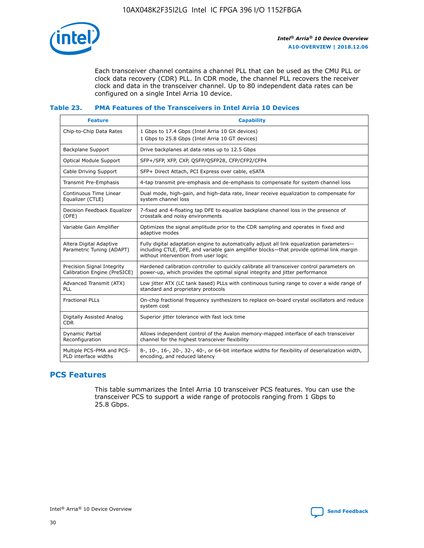

Each transceiver channel contains a channel PLL that can be used as the CMU PLL or clock data recovery (CDR) PLL. In CDR mode, the channel PLL recovers the receiver clock and data in the transceiver channel. Up to 80 independent data rates can be configured on a single Intel Arria 10 device.

## **Table 23. PMA Features of the Transceivers in Intel Arria 10 Devices**

| <b>Feature</b>                                             | <b>Capability</b>                                                                                                                                                                                                             |
|------------------------------------------------------------|-------------------------------------------------------------------------------------------------------------------------------------------------------------------------------------------------------------------------------|
| Chip-to-Chip Data Rates                                    | 1 Gbps to 17.4 Gbps (Intel Arria 10 GX devices)<br>1 Gbps to 25.8 Gbps (Intel Arria 10 GT devices)                                                                                                                            |
| <b>Backplane Support</b>                                   | Drive backplanes at data rates up to 12.5 Gbps                                                                                                                                                                                |
| Optical Module Support                                     | SFP+/SFP, XFP, CXP, QSFP/QSFP28, CFP/CFP2/CFP4                                                                                                                                                                                |
| Cable Driving Support                                      | SFP+ Direct Attach, PCI Express over cable, eSATA                                                                                                                                                                             |
| Transmit Pre-Emphasis                                      | 4-tap transmit pre-emphasis and de-emphasis to compensate for system channel loss                                                                                                                                             |
| Continuous Time Linear<br>Equalizer (CTLE)                 | Dual mode, high-gain, and high-data rate, linear receive equalization to compensate for<br>system channel loss                                                                                                                |
| Decision Feedback Equalizer<br>(DFE)                       | 7-fixed and 4-floating tap DFE to equalize backplane channel loss in the presence of<br>crosstalk and noisy environments                                                                                                      |
| Variable Gain Amplifier                                    | Optimizes the signal amplitude prior to the CDR sampling and operates in fixed and<br>adaptive modes                                                                                                                          |
| Altera Digital Adaptive<br>Parametric Tuning (ADAPT)       | Fully digital adaptation engine to automatically adjust all link equalization parameters-<br>including CTLE, DFE, and variable gain amplifier blocks—that provide optimal link margin<br>without intervention from user logic |
| Precision Signal Integrity<br>Calibration Engine (PreSICE) | Hardened calibration controller to quickly calibrate all transceiver control parameters on<br>power-up, which provides the optimal signal integrity and jitter performance                                                    |
| Advanced Transmit (ATX)<br><b>PLL</b>                      | Low jitter ATX (LC tank based) PLLs with continuous tuning range to cover a wide range of<br>standard and proprietary protocols                                                                                               |
| <b>Fractional PLLs</b>                                     | On-chip fractional frequency synthesizers to replace on-board crystal oscillators and reduce<br>system cost                                                                                                                   |
| Digitally Assisted Analog<br><b>CDR</b>                    | Superior jitter tolerance with fast lock time                                                                                                                                                                                 |
| Dynamic Partial<br>Reconfiguration                         | Allows independent control of the Avalon memory-mapped interface of each transceiver<br>channel for the highest transceiver flexibility                                                                                       |
| Multiple PCS-PMA and PCS-<br>PLD interface widths          | 8-, 10-, 16-, 20-, 32-, 40-, or 64-bit interface widths for flexibility of deserialization width,<br>encoding, and reduced latency                                                                                            |

## **PCS Features**

This table summarizes the Intel Arria 10 transceiver PCS features. You can use the transceiver PCS to support a wide range of protocols ranging from 1 Gbps to 25.8 Gbps.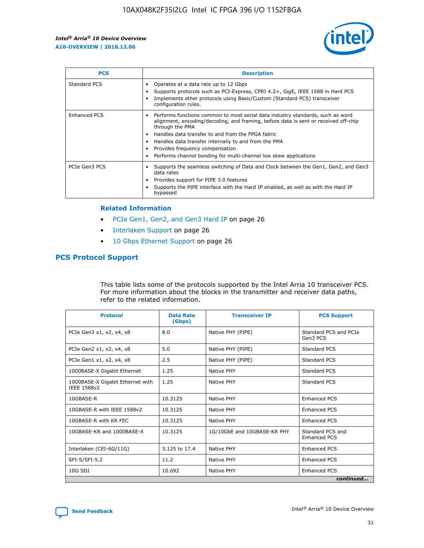

| <b>PCS</b>          | <b>Description</b>                                                                                                                                                                                                                                                                                                                                                                                             |
|---------------------|----------------------------------------------------------------------------------------------------------------------------------------------------------------------------------------------------------------------------------------------------------------------------------------------------------------------------------------------------------------------------------------------------------------|
| Standard PCS        | Operates at a data rate up to 12 Gbps<br>Supports protocols such as PCI-Express, CPRI 4.2+, GigE, IEEE 1588 in Hard PCS<br>Implements other protocols using Basic/Custom (Standard PCS) transceiver<br>configuration rules.                                                                                                                                                                                    |
| <b>Enhanced PCS</b> | Performs functions common to most serial data industry standards, such as word<br>alignment, encoding/decoding, and framing, before data is sent or received off-chip<br>through the PMA<br>• Handles data transfer to and from the FPGA fabric<br>Handles data transfer internally to and from the PMA<br>Provides frequency compensation<br>Performs channel bonding for multi-channel low skew applications |
| PCIe Gen3 PCS       | Supports the seamless switching of Data and Clock between the Gen1, Gen2, and Gen3<br>data rates<br>Provides support for PIPE 3.0 features<br>Supports the PIPE interface with the Hard IP enabled, as well as with the Hard IP<br>bypassed                                                                                                                                                                    |

#### **Related Information**

- PCIe Gen1, Gen2, and Gen3 Hard IP on page 26
- Interlaken Support on page 26
- 10 Gbps Ethernet Support on page 26

## **PCS Protocol Support**

This table lists some of the protocols supported by the Intel Arria 10 transceiver PCS. For more information about the blocks in the transmitter and receiver data paths, refer to the related information.

| <b>Protocol</b>                                 | <b>Data Rate</b><br>(Gbps) | <b>Transceiver IP</b>       | <b>PCS Support</b>                      |
|-------------------------------------------------|----------------------------|-----------------------------|-----------------------------------------|
| PCIe Gen3 x1, x2, x4, x8                        | 8.0                        | Native PHY (PIPE)           | Standard PCS and PCIe<br>Gen3 PCS       |
| PCIe Gen2 x1, x2, x4, x8                        | 5.0                        | Native PHY (PIPE)           | <b>Standard PCS</b>                     |
| PCIe Gen1 x1, x2, x4, x8                        | 2.5                        | Native PHY (PIPE)           | Standard PCS                            |
| 1000BASE-X Gigabit Ethernet                     | 1.25                       | Native PHY                  | <b>Standard PCS</b>                     |
| 1000BASE-X Gigabit Ethernet with<br>IEEE 1588v2 | 1.25                       | Native PHY                  | Standard PCS                            |
| 10GBASE-R                                       | 10.3125                    | Native PHY                  | <b>Enhanced PCS</b>                     |
| 10GBASE-R with IEEE 1588v2                      | 10.3125                    | Native PHY                  | <b>Enhanced PCS</b>                     |
| 10GBASE-R with KR FEC                           | 10.3125                    | Native PHY                  | <b>Enhanced PCS</b>                     |
| 10GBASE-KR and 1000BASE-X                       | 10.3125                    | 1G/10GbE and 10GBASE-KR PHY | Standard PCS and<br><b>Enhanced PCS</b> |
| Interlaken (CEI-6G/11G)                         | 3.125 to 17.4              | Native PHY                  | <b>Enhanced PCS</b>                     |
| SFI-S/SFI-5.2                                   | 11.2                       | Native PHY                  | <b>Enhanced PCS</b>                     |
| $10G$ SDI                                       | 10.692                     | Native PHY                  | <b>Enhanced PCS</b>                     |
|                                                 |                            |                             | continued                               |

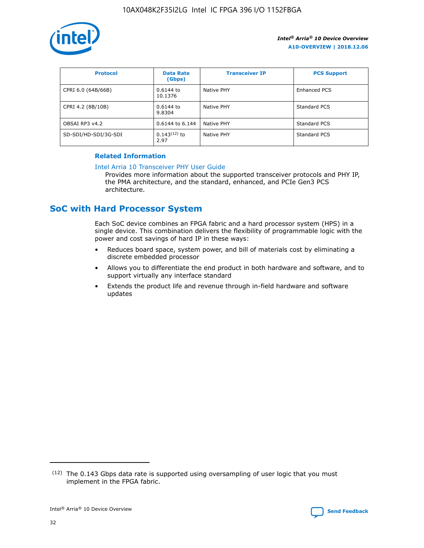

| <b>Protocol</b>      | <b>Data Rate</b><br>(Gbps) | <b>Transceiver IP</b> | <b>PCS Support</b> |
|----------------------|----------------------------|-----------------------|--------------------|
| CPRI 6.0 (64B/66B)   | 0.6144 to<br>10.1376       | Native PHY            | Enhanced PCS       |
| CPRI 4.2 (8B/10B)    | 0.6144 to<br>9.8304        | Native PHY            | Standard PCS       |
| OBSAI RP3 v4.2       | 0.6144 to 6.144            | Native PHY            | Standard PCS       |
| SD-SDI/HD-SDI/3G-SDI | $0.143(12)$ to<br>2.97     | Native PHY            | Standard PCS       |

## **Related Information**

#### [Intel Arria 10 Transceiver PHY User Guide](https://www.intel.com/content/www/us/en/programmable/documentation/nik1398707230472.html#nik1398707091164)

Provides more information about the supported transceiver protocols and PHY IP, the PMA architecture, and the standard, enhanced, and PCIe Gen3 PCS architecture.

## **SoC with Hard Processor System**

Each SoC device combines an FPGA fabric and a hard processor system (HPS) in a single device. This combination delivers the flexibility of programmable logic with the power and cost savings of hard IP in these ways:

- Reduces board space, system power, and bill of materials cost by eliminating a discrete embedded processor
- Allows you to differentiate the end product in both hardware and software, and to support virtually any interface standard
- Extends the product life and revenue through in-field hardware and software updates

 $(12)$  The 0.143 Gbps data rate is supported using oversampling of user logic that you must implement in the FPGA fabric.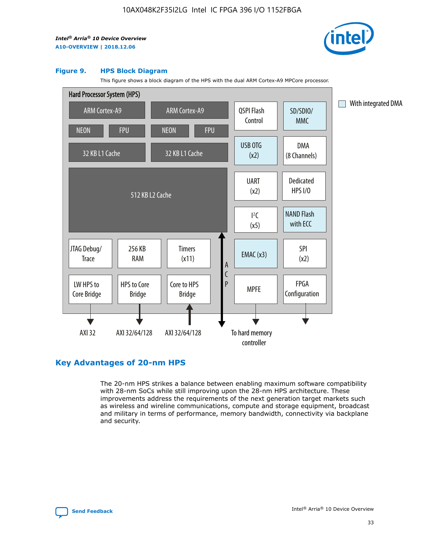

#### **Figure 9. HPS Block Diagram**

This figure shows a block diagram of the HPS with the dual ARM Cortex-A9 MPCore processor.



## **Key Advantages of 20-nm HPS**

The 20-nm HPS strikes a balance between enabling maximum software compatibility with 28-nm SoCs while still improving upon the 28-nm HPS architecture. These improvements address the requirements of the next generation target markets such as wireless and wireline communications, compute and storage equipment, broadcast and military in terms of performance, memory bandwidth, connectivity via backplane and security.

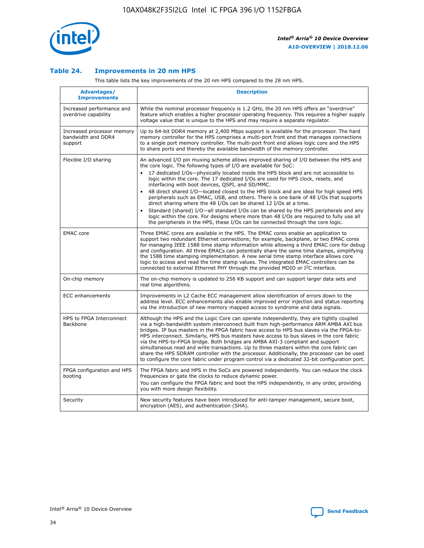

## **Table 24. Improvements in 20 nm HPS**

This table lists the key improvements of the 20 nm HPS compared to the 28 nm HPS.

| Advantages/<br><b>Improvements</b>                          | <b>Description</b>                                                                                                                                                                                                                                                                                                                                                                                                                                                                                                                                                                                                                                                                                                                                                                                                                                                                                                      |
|-------------------------------------------------------------|-------------------------------------------------------------------------------------------------------------------------------------------------------------------------------------------------------------------------------------------------------------------------------------------------------------------------------------------------------------------------------------------------------------------------------------------------------------------------------------------------------------------------------------------------------------------------------------------------------------------------------------------------------------------------------------------------------------------------------------------------------------------------------------------------------------------------------------------------------------------------------------------------------------------------|
| Increased performance and<br>overdrive capability           | While the nominal processor frequency is 1.2 GHz, the 20 nm HPS offers an "overdrive"<br>feature which enables a higher processor operating frequency. This requires a higher supply<br>voltage value that is unique to the HPS and may require a separate regulator.                                                                                                                                                                                                                                                                                                                                                                                                                                                                                                                                                                                                                                                   |
| Increased processor memory<br>bandwidth and DDR4<br>support | Up to 64-bit DDR4 memory at 2,400 Mbps support is available for the processor. The hard<br>memory controller for the HPS comprises a multi-port front end that manages connections<br>to a single port memory controller. The multi-port front end allows logic core and the HPS<br>to share ports and thereby the available bandwidth of the memory controller.                                                                                                                                                                                                                                                                                                                                                                                                                                                                                                                                                        |
| Flexible I/O sharing                                        | An advanced I/O pin muxing scheme allows improved sharing of I/O between the HPS and<br>the core logic. The following types of I/O are available for SoC:<br>17 dedicated I/Os-physically located inside the HPS block and are not accessible to<br>logic within the core. The 17 dedicated I/Os are used for HPS clock, resets, and<br>interfacing with boot devices, QSPI, and SD/MMC.<br>48 direct shared I/O-located closest to the HPS block and are ideal for high speed HPS<br>peripherals such as EMAC, USB, and others. There is one bank of 48 I/Os that supports<br>direct sharing where the 48 I/Os can be shared 12 I/Os at a time.<br>Standard (shared) I/O-all standard I/Os can be shared by the HPS peripherals and any<br>logic within the core. For designs where more than 48 I/Os are reguired to fully use all<br>the peripherals in the HPS, these I/Os can be connected through the core logic. |
| <b>EMAC</b> core                                            | Three EMAC cores are available in the HPS. The EMAC cores enable an application to<br>support two redundant Ethernet connections; for example, backplane, or two EMAC cores<br>for managing IEEE 1588 time stamp information while allowing a third EMAC core for debug<br>and configuration. All three EMACs can potentially share the same time stamps, simplifying<br>the 1588 time stamping implementation. A new serial time stamp interface allows core<br>logic to access and read the time stamp values. The integrated EMAC controllers can be<br>connected to external Ethernet PHY through the provided MDIO or I <sup>2</sup> C interface.                                                                                                                                                                                                                                                                  |
| On-chip memory                                              | The on-chip memory is updated to 256 KB support and can support larger data sets and<br>real time algorithms.                                                                                                                                                                                                                                                                                                                                                                                                                                                                                                                                                                                                                                                                                                                                                                                                           |
| <b>ECC</b> enhancements                                     | Improvements in L2 Cache ECC management allow identification of errors down to the<br>address level. ECC enhancements also enable improved error injection and status reporting<br>via the introduction of new memory mapped access to syndrome and data signals.                                                                                                                                                                                                                                                                                                                                                                                                                                                                                                                                                                                                                                                       |
| HPS to FPGA Interconnect<br>Backbone                        | Although the HPS and the Logic Core can operate independently, they are tightly coupled<br>via a high-bandwidth system interconnect built from high-performance ARM AMBA AXI bus<br>bridges. IP bus masters in the FPGA fabric have access to HPS bus slaves via the FPGA-to-<br>HPS interconnect. Similarly, HPS bus masters have access to bus slaves in the core fabric<br>via the HPS-to-FPGA bridge. Both bridges are AMBA AXI-3 compliant and support<br>simultaneous read and write transactions. Up to three masters within the core fabric can<br>share the HPS SDRAM controller with the processor. Additionally, the processor can be used<br>to configure the core fabric under program control via a dedicated 32-bit configuration port.                                                                                                                                                                  |
| FPGA configuration and HPS<br>booting                       | The FPGA fabric and HPS in the SoCs are powered independently. You can reduce the clock<br>frequencies or gate the clocks to reduce dynamic power.<br>You can configure the FPGA fabric and boot the HPS independently, in any order, providing<br>you with more design flexibility.                                                                                                                                                                                                                                                                                                                                                                                                                                                                                                                                                                                                                                    |
| Security                                                    | New security features have been introduced for anti-tamper management, secure boot,<br>encryption (AES), and authentication (SHA).                                                                                                                                                                                                                                                                                                                                                                                                                                                                                                                                                                                                                                                                                                                                                                                      |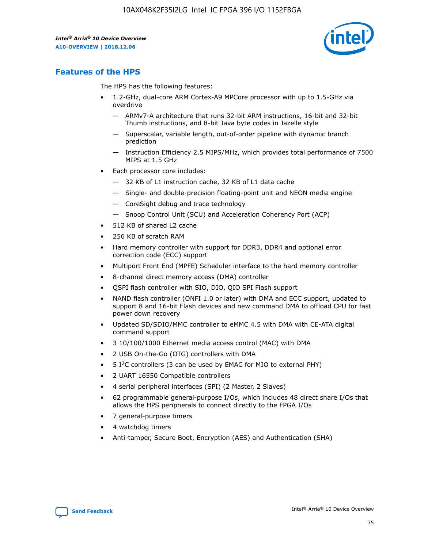

## **Features of the HPS**

The HPS has the following features:

- 1.2-GHz, dual-core ARM Cortex-A9 MPCore processor with up to 1.5-GHz via overdrive
	- ARMv7-A architecture that runs 32-bit ARM instructions, 16-bit and 32-bit Thumb instructions, and 8-bit Java byte codes in Jazelle style
	- Superscalar, variable length, out-of-order pipeline with dynamic branch prediction
	- Instruction Efficiency 2.5 MIPS/MHz, which provides total performance of 7500 MIPS at 1.5 GHz
- Each processor core includes:
	- 32 KB of L1 instruction cache, 32 KB of L1 data cache
	- Single- and double-precision floating-point unit and NEON media engine
	- CoreSight debug and trace technology
	- Snoop Control Unit (SCU) and Acceleration Coherency Port (ACP)
- 512 KB of shared L2 cache
- 256 KB of scratch RAM
- Hard memory controller with support for DDR3, DDR4 and optional error correction code (ECC) support
- Multiport Front End (MPFE) Scheduler interface to the hard memory controller
- 8-channel direct memory access (DMA) controller
- QSPI flash controller with SIO, DIO, QIO SPI Flash support
- NAND flash controller (ONFI 1.0 or later) with DMA and ECC support, updated to support 8 and 16-bit Flash devices and new command DMA to offload CPU for fast power down recovery
- Updated SD/SDIO/MMC controller to eMMC 4.5 with DMA with CE-ATA digital command support
- 3 10/100/1000 Ethernet media access control (MAC) with DMA
- 2 USB On-the-Go (OTG) controllers with DMA
- $\bullet$  5 I<sup>2</sup>C controllers (3 can be used by EMAC for MIO to external PHY)
- 2 UART 16550 Compatible controllers
- 4 serial peripheral interfaces (SPI) (2 Master, 2 Slaves)
- 62 programmable general-purpose I/Os, which includes 48 direct share I/Os that allows the HPS peripherals to connect directly to the FPGA I/Os
- 7 general-purpose timers
- 4 watchdog timers
- Anti-tamper, Secure Boot, Encryption (AES) and Authentication (SHA)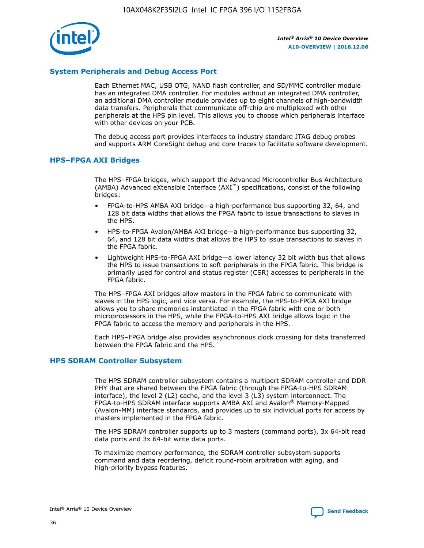

## **System Peripherals and Debug Access Port**

Each Ethernet MAC, USB OTG, NAND flash controller, and SD/MMC controller module has an integrated DMA controller. For modules without an integrated DMA controller, an additional DMA controller module provides up to eight channels of high-bandwidth data transfers. Peripherals that communicate off-chip are multiplexed with other peripherals at the HPS pin level. This allows you to choose which peripherals interface with other devices on your PCB.

The debug access port provides interfaces to industry standard JTAG debug probes and supports ARM CoreSight debug and core traces to facilitate software development.

## **HPS–FPGA AXI Bridges**

The HPS–FPGA bridges, which support the Advanced Microcontroller Bus Architecture (AMBA) Advanced eXtensible Interface (AXI™) specifications, consist of the following bridges:

- FPGA-to-HPS AMBA AXI bridge—a high-performance bus supporting 32, 64, and 128 bit data widths that allows the FPGA fabric to issue transactions to slaves in the HPS.
- HPS-to-FPGA Avalon/AMBA AXI bridge—a high-performance bus supporting 32, 64, and 128 bit data widths that allows the HPS to issue transactions to slaves in the FPGA fabric.
- Lightweight HPS-to-FPGA AXI bridge—a lower latency 32 bit width bus that allows the HPS to issue transactions to soft peripherals in the FPGA fabric. This bridge is primarily used for control and status register (CSR) accesses to peripherals in the FPGA fabric.

The HPS–FPGA AXI bridges allow masters in the FPGA fabric to communicate with slaves in the HPS logic, and vice versa. For example, the HPS-to-FPGA AXI bridge allows you to share memories instantiated in the FPGA fabric with one or both microprocessors in the HPS, while the FPGA-to-HPS AXI bridge allows logic in the FPGA fabric to access the memory and peripherals in the HPS.

Each HPS–FPGA bridge also provides asynchronous clock crossing for data transferred between the FPGA fabric and the HPS.

### **HPS SDRAM Controller Subsystem**

The HPS SDRAM controller subsystem contains a multiport SDRAM controller and DDR PHY that are shared between the FPGA fabric (through the FPGA-to-HPS SDRAM interface), the level 2 (L2) cache, and the level 3 (L3) system interconnect. The FPGA-to-HPS SDRAM interface supports AMBA AXI and Avalon® Memory-Mapped (Avalon-MM) interface standards, and provides up to six individual ports for access by masters implemented in the FPGA fabric.

The HPS SDRAM controller supports up to 3 masters (command ports), 3x 64-bit read data ports and 3x 64-bit write data ports.

To maximize memory performance, the SDRAM controller subsystem supports command and data reordering, deficit round-robin arbitration with aging, and high-priority bypass features.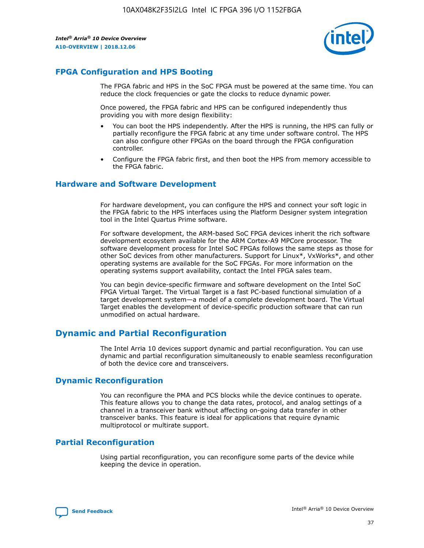

## **FPGA Configuration and HPS Booting**

The FPGA fabric and HPS in the SoC FPGA must be powered at the same time. You can reduce the clock frequencies or gate the clocks to reduce dynamic power.

Once powered, the FPGA fabric and HPS can be configured independently thus providing you with more design flexibility:

- You can boot the HPS independently. After the HPS is running, the HPS can fully or partially reconfigure the FPGA fabric at any time under software control. The HPS can also configure other FPGAs on the board through the FPGA configuration controller.
- Configure the FPGA fabric first, and then boot the HPS from memory accessible to the FPGA fabric.

## **Hardware and Software Development**

For hardware development, you can configure the HPS and connect your soft logic in the FPGA fabric to the HPS interfaces using the Platform Designer system integration tool in the Intel Quartus Prime software.

For software development, the ARM-based SoC FPGA devices inherit the rich software development ecosystem available for the ARM Cortex-A9 MPCore processor. The software development process for Intel SoC FPGAs follows the same steps as those for other SoC devices from other manufacturers. Support for Linux\*, VxWorks\*, and other operating systems are available for the SoC FPGAs. For more information on the operating systems support availability, contact the Intel FPGA sales team.

You can begin device-specific firmware and software development on the Intel SoC FPGA Virtual Target. The Virtual Target is a fast PC-based functional simulation of a target development system—a model of a complete development board. The Virtual Target enables the development of device-specific production software that can run unmodified on actual hardware.

## **Dynamic and Partial Reconfiguration**

The Intel Arria 10 devices support dynamic and partial reconfiguration. You can use dynamic and partial reconfiguration simultaneously to enable seamless reconfiguration of both the device core and transceivers.

## **Dynamic Reconfiguration**

You can reconfigure the PMA and PCS blocks while the device continues to operate. This feature allows you to change the data rates, protocol, and analog settings of a channel in a transceiver bank without affecting on-going data transfer in other transceiver banks. This feature is ideal for applications that require dynamic multiprotocol or multirate support.

## **Partial Reconfiguration**

Using partial reconfiguration, you can reconfigure some parts of the device while keeping the device in operation.

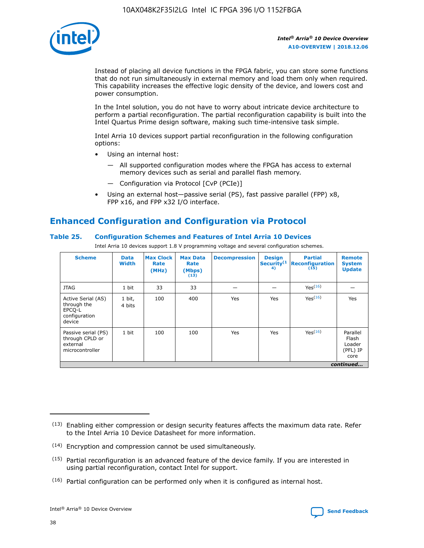

Instead of placing all device functions in the FPGA fabric, you can store some functions that do not run simultaneously in external memory and load them only when required. This capability increases the effective logic density of the device, and lowers cost and power consumption.

In the Intel solution, you do not have to worry about intricate device architecture to perform a partial reconfiguration. The partial reconfiguration capability is built into the Intel Quartus Prime design software, making such time-intensive task simple.

Intel Arria 10 devices support partial reconfiguration in the following configuration options:

- Using an internal host:
	- All supported configuration modes where the FPGA has access to external memory devices such as serial and parallel flash memory.
	- Configuration via Protocol [CvP (PCIe)]
- Using an external host—passive serial (PS), fast passive parallel (FPP) x8, FPP x16, and FPP x32 I/O interface.

# **Enhanced Configuration and Configuration via Protocol**

## **Table 25. Configuration Schemes and Features of Intel Arria 10 Devices**

Intel Arria 10 devices support 1.8 V programming voltage and several configuration schemes.

| <b>Scheme</b>                                                          | <b>Data</b><br><b>Width</b> | <b>Max Clock</b><br>Rate<br>(MHz) | <b>Max Data</b><br>Rate<br>(Mbps)<br>(13) | <b>Decompression</b> | <b>Design</b><br>Security <sup>(1</sup><br>4) | <b>Partial</b><br><b>Reconfiguration</b><br>(15) | <b>Remote</b><br><b>System</b><br><b>Update</b> |
|------------------------------------------------------------------------|-----------------------------|-----------------------------------|-------------------------------------------|----------------------|-----------------------------------------------|--------------------------------------------------|-------------------------------------------------|
| <b>JTAG</b>                                                            | 1 bit                       | 33                                | 33                                        |                      |                                               | Yes(16)                                          |                                                 |
| Active Serial (AS)<br>through the<br>EPCO-L<br>configuration<br>device | 1 bit,<br>4 bits            | 100                               | 400                                       | Yes                  | Yes                                           | Yes(16)                                          | Yes                                             |
| Passive serial (PS)<br>through CPLD or<br>external<br>microcontroller  | 1 bit                       | 100                               | 100                                       | Yes                  | Yes                                           | Yes <sup>(16)</sup>                              | Parallel<br>Flash<br>Loader<br>(PFL) IP<br>core |
|                                                                        |                             |                                   |                                           |                      |                                               |                                                  | continued                                       |

<sup>(13)</sup> Enabling either compression or design security features affects the maximum data rate. Refer to the Intel Arria 10 Device Datasheet for more information.

<sup>(14)</sup> Encryption and compression cannot be used simultaneously.

 $(15)$  Partial reconfiguration is an advanced feature of the device family. If you are interested in using partial reconfiguration, contact Intel for support.

 $(16)$  Partial configuration can be performed only when it is configured as internal host.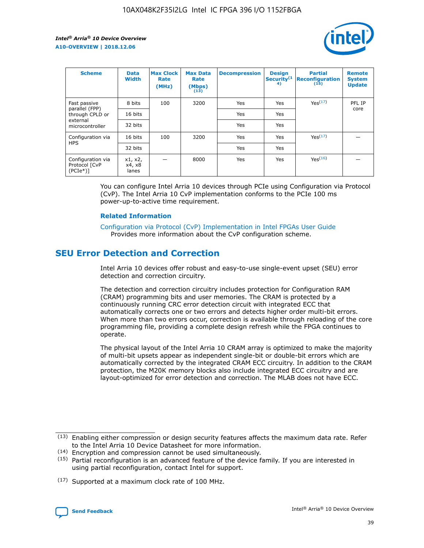

| <b>Scheme</b>                                   | <b>Data</b><br><b>Width</b> | <b>Max Clock</b><br>Rate<br>(MHz) | <b>Max Data</b><br>Rate<br>(Mbps)<br>(13) | <b>Decompression</b> | <b>Design</b><br>Security <sup>(1</sup><br>4) | <b>Partial</b><br><b>Reconfiguration</b><br>(15) | <b>Remote</b><br><b>System</b><br><b>Update</b> |
|-------------------------------------------------|-----------------------------|-----------------------------------|-------------------------------------------|----------------------|-----------------------------------------------|--------------------------------------------------|-------------------------------------------------|
| Fast passive                                    | 8 bits                      | 100                               | 3200                                      | Yes                  | Yes                                           | Yes(17)                                          | PFL IP                                          |
| parallel (FPP)<br>through CPLD or               | 16 bits                     |                                   |                                           | Yes                  | Yes                                           |                                                  | core                                            |
| external<br>microcontroller                     | 32 bits                     |                                   |                                           | Yes                  | Yes                                           |                                                  |                                                 |
| Configuration via                               | 16 bits                     | 100                               | 3200                                      | Yes                  | Yes                                           | Yes <sup>(17)</sup>                              |                                                 |
| <b>HPS</b>                                      | 32 bits                     |                                   |                                           | Yes                  | Yes                                           |                                                  |                                                 |
| Configuration via<br>Protocol [CvP<br>$(PCIe*)$ | x1, x2,<br>x4, x8<br>lanes  |                                   | 8000                                      | Yes                  | Yes                                           | Yes <sup>(16)</sup>                              |                                                 |

You can configure Intel Arria 10 devices through PCIe using Configuration via Protocol (CvP). The Intel Arria 10 CvP implementation conforms to the PCIe 100 ms power-up-to-active time requirement.

### **Related Information**

[Configuration via Protocol \(CvP\) Implementation in Intel FPGAs User Guide](https://www.intel.com/content/www/us/en/programmable/documentation/dsu1441819344145.html#dsu1442269728522) Provides more information about the CvP configuration scheme.

## **SEU Error Detection and Correction**

Intel Arria 10 devices offer robust and easy-to-use single-event upset (SEU) error detection and correction circuitry.

The detection and correction circuitry includes protection for Configuration RAM (CRAM) programming bits and user memories. The CRAM is protected by a continuously running CRC error detection circuit with integrated ECC that automatically corrects one or two errors and detects higher order multi-bit errors. When more than two errors occur, correction is available through reloading of the core programming file, providing a complete design refresh while the FPGA continues to operate.

The physical layout of the Intel Arria 10 CRAM array is optimized to make the majority of multi-bit upsets appear as independent single-bit or double-bit errors which are automatically corrected by the integrated CRAM ECC circuitry. In addition to the CRAM protection, the M20K memory blocks also include integrated ECC circuitry and are layout-optimized for error detection and correction. The MLAB does not have ECC.

(14) Encryption and compression cannot be used simultaneously.

<sup>(17)</sup> Supported at a maximum clock rate of 100 MHz.



 $(13)$  Enabling either compression or design security features affects the maximum data rate. Refer to the Intel Arria 10 Device Datasheet for more information.

 $(15)$  Partial reconfiguration is an advanced feature of the device family. If you are interested in using partial reconfiguration, contact Intel for support.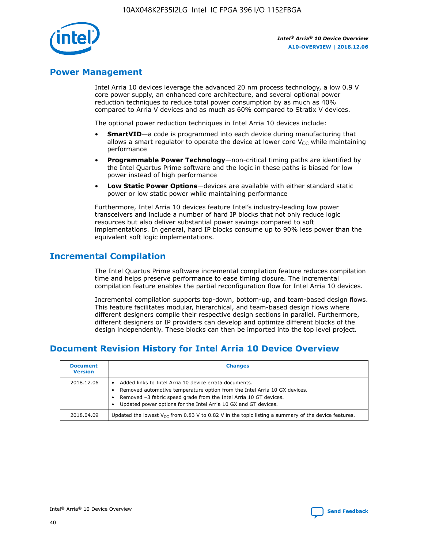

## **Power Management**

Intel Arria 10 devices leverage the advanced 20 nm process technology, a low 0.9 V core power supply, an enhanced core architecture, and several optional power reduction techniques to reduce total power consumption by as much as 40% compared to Arria V devices and as much as 60% compared to Stratix V devices.

The optional power reduction techniques in Intel Arria 10 devices include:

- **SmartVID**—a code is programmed into each device during manufacturing that allows a smart regulator to operate the device at lower core  $V_{CC}$  while maintaining performance
- **Programmable Power Technology**—non-critical timing paths are identified by the Intel Quartus Prime software and the logic in these paths is biased for low power instead of high performance
- **Low Static Power Options**—devices are available with either standard static power or low static power while maintaining performance

Furthermore, Intel Arria 10 devices feature Intel's industry-leading low power transceivers and include a number of hard IP blocks that not only reduce logic resources but also deliver substantial power savings compared to soft implementations. In general, hard IP blocks consume up to 90% less power than the equivalent soft logic implementations.

## **Incremental Compilation**

The Intel Quartus Prime software incremental compilation feature reduces compilation time and helps preserve performance to ease timing closure. The incremental compilation feature enables the partial reconfiguration flow for Intel Arria 10 devices.

Incremental compilation supports top-down, bottom-up, and team-based design flows. This feature facilitates modular, hierarchical, and team-based design flows where different designers compile their respective design sections in parallel. Furthermore, different designers or IP providers can develop and optimize different blocks of the design independently. These blocks can then be imported into the top level project.

## **Document Revision History for Intel Arria 10 Device Overview**

| <b>Document</b><br><b>Version</b> | <b>Changes</b>                                                                                                                                                                                                                                                              |
|-----------------------------------|-----------------------------------------------------------------------------------------------------------------------------------------------------------------------------------------------------------------------------------------------------------------------------|
| 2018.12.06                        | Added links to Intel Arria 10 device errata documents.<br>Removed automotive temperature option from the Intel Arria 10 GX devices.<br>Removed -3 fabric speed grade from the Intel Arria 10 GT devices.<br>Updated power options for the Intel Arria 10 GX and GT devices. |
| 2018.04.09                        | Updated the lowest $V_{CC}$ from 0.83 V to 0.82 V in the topic listing a summary of the device features.                                                                                                                                                                    |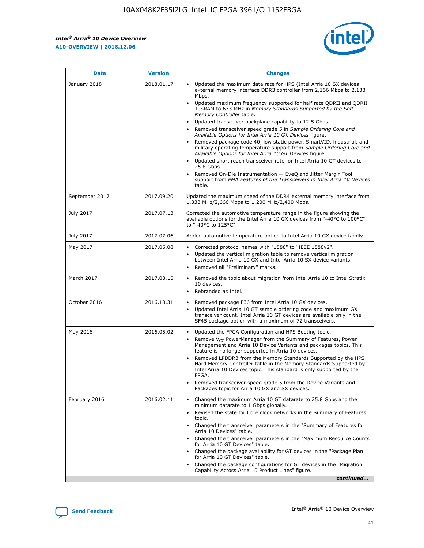### *Intel® Arria® 10 Device Overview* **A10-OVERVIEW | 2018.12.06**



| <b>Date</b>    | <b>Version</b> | <b>Changes</b>                                                                                                                                                                                                                                                                                                                                                                                                                                                                                                                                                                                                                                                                                                                                                                                                                                                                                                                                                            |
|----------------|----------------|---------------------------------------------------------------------------------------------------------------------------------------------------------------------------------------------------------------------------------------------------------------------------------------------------------------------------------------------------------------------------------------------------------------------------------------------------------------------------------------------------------------------------------------------------------------------------------------------------------------------------------------------------------------------------------------------------------------------------------------------------------------------------------------------------------------------------------------------------------------------------------------------------------------------------------------------------------------------------|
| January 2018   | 2018.01.17     | Updated the maximum data rate for HPS (Intel Arria 10 SX devices<br>external memory interface DDR3 controller from 2,166 Mbps to 2,133<br>Mbps.<br>Updated maximum frequency supported for half rate QDRII and QDRII<br>+ SRAM to 633 MHz in Memory Standards Supported by the Soft<br>Memory Controller table.<br>Updated transceiver backplane capability to 12.5 Gbps.<br>$\bullet$<br>Removed transceiver speed grade 5 in Sample Ordering Core and<br>Available Options for Intel Arria 10 GX Devices figure.<br>Removed package code 40, low static power, SmartVID, industrial, and<br>military operating temperature support from Sample Ordering Core and<br>Available Options for Intel Arria 10 GT Devices figure.<br>Updated short reach transceiver rate for Intel Arria 10 GT devices to<br>25.8 Gbps.<br>Removed On-Die Instrumentation - EyeQ and Jitter Margin Tool<br>support from PMA Features of the Transceivers in Intel Arria 10 Devices<br>table. |
| September 2017 | 2017.09.20     | Updated the maximum speed of the DDR4 external memory interface from<br>1,333 MHz/2,666 Mbps to 1,200 MHz/2,400 Mbps.                                                                                                                                                                                                                                                                                                                                                                                                                                                                                                                                                                                                                                                                                                                                                                                                                                                     |
| July 2017      | 2017.07.13     | Corrected the automotive temperature range in the figure showing the<br>available options for the Intel Arria 10 GX devices from "-40°C to 100°C"<br>to "-40°C to 125°C".                                                                                                                                                                                                                                                                                                                                                                                                                                                                                                                                                                                                                                                                                                                                                                                                 |
| July 2017      | 2017.07.06     | Added automotive temperature option to Intel Arria 10 GX device family.                                                                                                                                                                                                                                                                                                                                                                                                                                                                                                                                                                                                                                                                                                                                                                                                                                                                                                   |
| May 2017       | 2017.05.08     | Corrected protocol names with "1588" to "IEEE 1588v2".<br>$\bullet$<br>Updated the vertical migration table to remove vertical migration<br>$\bullet$<br>between Intel Arria 10 GX and Intel Arria 10 SX device variants.<br>Removed all "Preliminary" marks.<br>$\bullet$                                                                                                                                                                                                                                                                                                                                                                                                                                                                                                                                                                                                                                                                                                |
| March 2017     | 2017.03.15     | Removed the topic about migration from Intel Arria 10 to Intel Stratix<br>$\bullet$<br>10 devices.<br>Rebranded as Intel.<br>$\bullet$                                                                                                                                                                                                                                                                                                                                                                                                                                                                                                                                                                                                                                                                                                                                                                                                                                    |
| October 2016   | 2016.10.31     | Removed package F36 from Intel Arria 10 GX devices.<br>Updated Intel Arria 10 GT sample ordering code and maximum GX<br>$\bullet$<br>transceiver count. Intel Arria 10 GT devices are available only in the<br>SF45 package option with a maximum of 72 transceivers.                                                                                                                                                                                                                                                                                                                                                                                                                                                                                                                                                                                                                                                                                                     |
| May 2016       | 2016.05.02     | Updated the FPGA Configuration and HPS Booting topic.<br>$\bullet$<br>Remove V <sub>CC</sub> PowerManager from the Summary of Features, Power<br>Management and Arria 10 Device Variants and packages topics. This<br>feature is no longer supported in Arria 10 devices.<br>Removed LPDDR3 from the Memory Standards Supported by the HPS<br>Hard Memory Controller table in the Memory Standards Supported by<br>Intel Arria 10 Devices topic. This standard is only supported by the<br>FPGA.<br>Removed transceiver speed grade 5 from the Device Variants and<br>Packages topic for Arria 10 GX and SX devices.                                                                                                                                                                                                                                                                                                                                                      |
| February 2016  | 2016.02.11     | Changed the maximum Arria 10 GT datarate to 25.8 Gbps and the<br>minimum datarate to 1 Gbps globally.<br>Revised the state for Core clock networks in the Summary of Features<br>$\bullet$<br>topic.<br>Changed the transceiver parameters in the "Summary of Features for<br>$\bullet$<br>Arria 10 Devices" table.<br>• Changed the transceiver parameters in the "Maximum Resource Counts<br>for Arria 10 GT Devices" table.<br>Changed the package availability for GT devices in the "Package Plan<br>for Arria 10 GT Devices" table.<br>Changed the package configurations for GT devices in the "Migration"<br>Capability Across Arria 10 Product Lines" figure.<br>continued                                                                                                                                                                                                                                                                                       |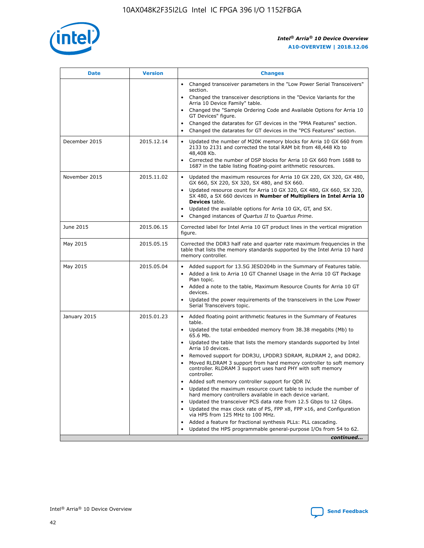

| <b>Date</b>   | <b>Version</b> | <b>Changes</b>                                                                                                                                                               |
|---------------|----------------|------------------------------------------------------------------------------------------------------------------------------------------------------------------------------|
|               |                | • Changed transceiver parameters in the "Low Power Serial Transceivers"<br>section.                                                                                          |
|               |                | • Changed the transceiver descriptions in the "Device Variants for the<br>Arria 10 Device Family" table.                                                                     |
|               |                | Changed the "Sample Ordering Code and Available Options for Arria 10<br>$\bullet$<br>GT Devices" figure.                                                                     |
|               |                | Changed the datarates for GT devices in the "PMA Features" section.                                                                                                          |
|               |                | Changed the datarates for GT devices in the "PCS Features" section.<br>$\bullet$                                                                                             |
| December 2015 | 2015.12.14     | Updated the number of M20K memory blocks for Arria 10 GX 660 from<br>2133 to 2131 and corrected the total RAM bit from 48,448 Kb to<br>48,408 Kb.                            |
|               |                | Corrected the number of DSP blocks for Arria 10 GX 660 from 1688 to<br>1687 in the table listing floating-point arithmetic resources.                                        |
| November 2015 | 2015.11.02     | Updated the maximum resources for Arria 10 GX 220, GX 320, GX 480,<br>$\bullet$<br>GX 660, SX 220, SX 320, SX 480, and SX 660.                                               |
|               |                | • Updated resource count for Arria 10 GX 320, GX 480, GX 660, SX 320,<br>SX 480, a SX 660 devices in Number of Multipliers in Intel Arria 10<br><b>Devices</b> table.        |
|               |                | Updated the available options for Arria 10 GX, GT, and SX.                                                                                                                   |
|               |                | Changed instances of Quartus II to Quartus Prime.<br>$\bullet$                                                                                                               |
| June 2015     | 2015.06.15     | Corrected label for Intel Arria 10 GT product lines in the vertical migration<br>figure.                                                                                     |
| May 2015      | 2015.05.15     | Corrected the DDR3 half rate and quarter rate maximum frequencies in the<br>table that lists the memory standards supported by the Intel Arria 10 hard<br>memory controller. |
| May 2015      | 2015.05.04     | • Added support for 13.5G JESD204b in the Summary of Features table.                                                                                                         |
|               |                | • Added a link to Arria 10 GT Channel Usage in the Arria 10 GT Package<br>Plan topic.                                                                                        |
|               |                | • Added a note to the table, Maximum Resource Counts for Arria 10 GT<br>devices.                                                                                             |
|               |                | • Updated the power requirements of the transceivers in the Low Power<br>Serial Transceivers topic.                                                                          |
| January 2015  | 2015.01.23     | • Added floating point arithmetic features in the Summary of Features<br>table.                                                                                              |
|               |                | • Updated the total embedded memory from 38.38 megabits (Mb) to<br>65.6 Mb.                                                                                                  |
|               |                | • Updated the table that lists the memory standards supported by Intel<br>Arria 10 devices.                                                                                  |
|               |                | Removed support for DDR3U, LPDDR3 SDRAM, RLDRAM 2, and DDR2.                                                                                                                 |
|               |                | Moved RLDRAM 3 support from hard memory controller to soft memory<br>controller. RLDRAM 3 support uses hard PHY with soft memory<br>controller.                              |
|               |                | Added soft memory controller support for QDR IV.<br>٠                                                                                                                        |
|               |                | Updated the maximum resource count table to include the number of<br>hard memory controllers available in each device variant.                                               |
|               |                | Updated the transceiver PCS data rate from 12.5 Gbps to 12 Gbps.<br>$\bullet$                                                                                                |
|               |                | Updated the max clock rate of PS, FPP x8, FPP x16, and Configuration<br>via HPS from 125 MHz to 100 MHz.                                                                     |
|               |                | Added a feature for fractional synthesis PLLs: PLL cascading.                                                                                                                |
|               |                | Updated the HPS programmable general-purpose I/Os from 54 to 62.<br>$\bullet$                                                                                                |
|               |                | continued                                                                                                                                                                    |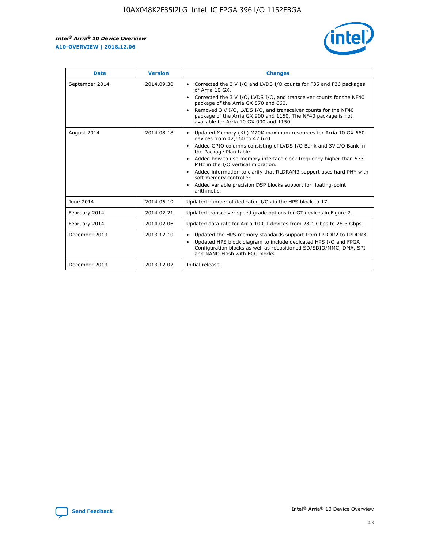r



| <b>Date</b>    | <b>Version</b> | <b>Changes</b>                                                                                                                                                                                                                                                                                                                                                                                                                                                                                                                         |
|----------------|----------------|----------------------------------------------------------------------------------------------------------------------------------------------------------------------------------------------------------------------------------------------------------------------------------------------------------------------------------------------------------------------------------------------------------------------------------------------------------------------------------------------------------------------------------------|
| September 2014 | 2014.09.30     | Corrected the 3 V I/O and LVDS I/O counts for F35 and F36 packages<br>of Arria 10 GX.<br>Corrected the 3 V I/O, LVDS I/O, and transceiver counts for the NF40<br>$\bullet$<br>package of the Arria GX 570 and 660.<br>Removed 3 V I/O, LVDS I/O, and transceiver counts for the NF40<br>package of the Arria GX 900 and 1150. The NF40 package is not<br>available for Arria 10 GX 900 and 1150.                                                                                                                                       |
| August 2014    | 2014.08.18     | Updated Memory (Kb) M20K maximum resources for Arria 10 GX 660<br>devices from 42,660 to 42,620.<br>Added GPIO columns consisting of LVDS I/O Bank and 3V I/O Bank in<br>$\bullet$<br>the Package Plan table.<br>Added how to use memory interface clock frequency higher than 533<br>$\bullet$<br>MHz in the I/O vertical migration.<br>Added information to clarify that RLDRAM3 support uses hard PHY with<br>$\bullet$<br>soft memory controller.<br>Added variable precision DSP blocks support for floating-point<br>arithmetic. |
| June 2014      | 2014.06.19     | Updated number of dedicated I/Os in the HPS block to 17.                                                                                                                                                                                                                                                                                                                                                                                                                                                                               |
| February 2014  | 2014.02.21     | Updated transceiver speed grade options for GT devices in Figure 2.                                                                                                                                                                                                                                                                                                                                                                                                                                                                    |
| February 2014  | 2014.02.06     | Updated data rate for Arria 10 GT devices from 28.1 Gbps to 28.3 Gbps.                                                                                                                                                                                                                                                                                                                                                                                                                                                                 |
| December 2013  | 2013.12.10     | Updated the HPS memory standards support from LPDDR2 to LPDDR3.<br>Updated HPS block diagram to include dedicated HPS I/O and FPGA<br>$\bullet$<br>Configuration blocks as well as repositioned SD/SDIO/MMC, DMA, SPI<br>and NAND Flash with ECC blocks.                                                                                                                                                                                                                                                                               |
| December 2013  | 2013.12.02     | Initial release.                                                                                                                                                                                                                                                                                                                                                                                                                                                                                                                       |